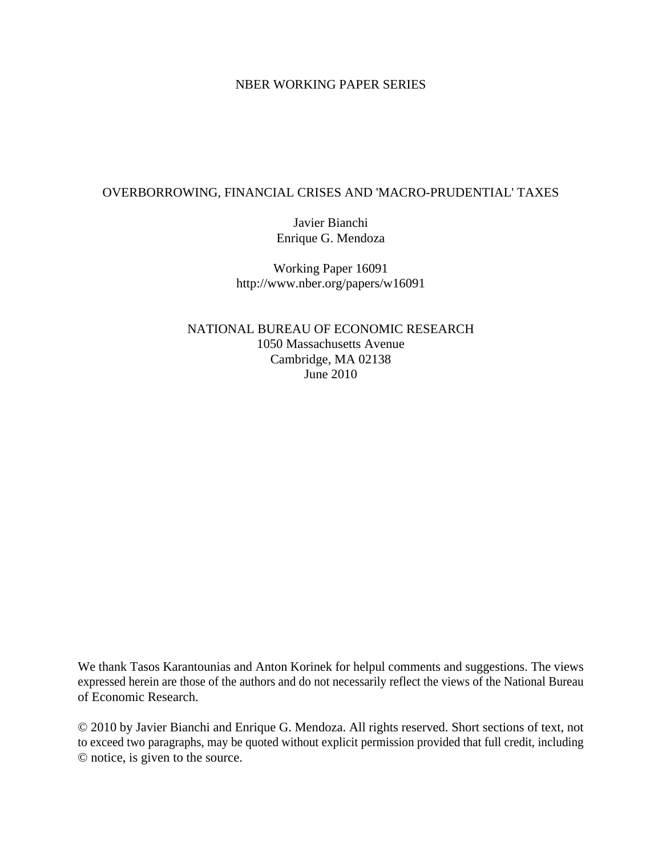# NBER WORKING PAPER SERIES

# OVERBORROWING, FINANCIAL CRISES AND 'MACRO-PRUDENTIAL' TAXES

Javier Bianchi Enrique G. Mendoza

Working Paper 16091 http://www.nber.org/papers/w16091

NATIONAL BUREAU OF ECONOMIC RESEARCH 1050 Massachusetts Avenue Cambridge, MA 02138 June 2010

We thank Tasos Karantounias and Anton Korinek for helpul comments and suggestions. The views expressed herein are those of the authors and do not necessarily reflect the views of the National Bureau of Economic Research.

© 2010 by Javier Bianchi and Enrique G. Mendoza. All rights reserved. Short sections of text, not to exceed two paragraphs, may be quoted without explicit permission provided that full credit, including © notice, is given to the source.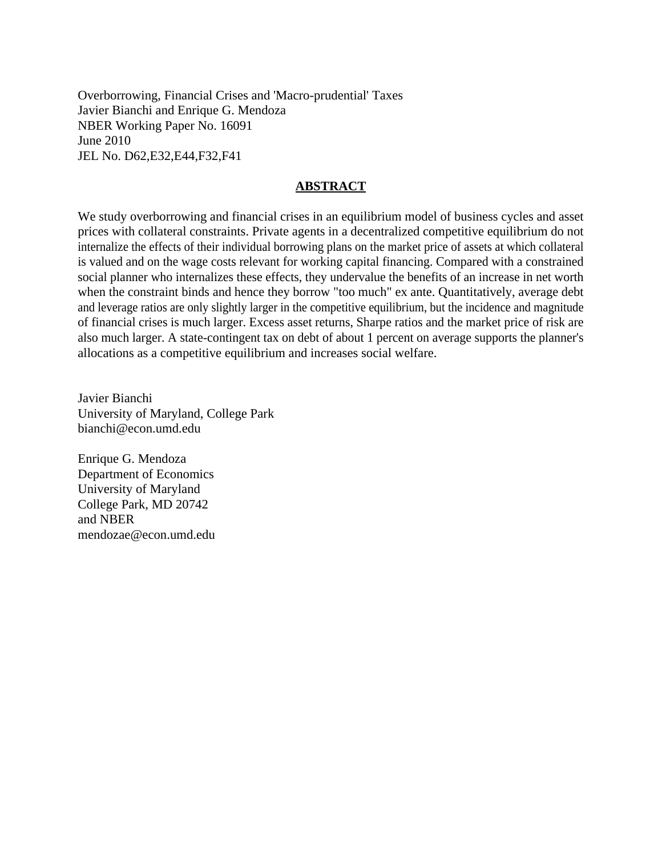Overborrowing, Financial Crises and 'Macro-prudential' Taxes Javier Bianchi and Enrique G. Mendoza NBER Working Paper No. 16091 June 2010 JEL No. D62,E32,E44,F32,F41

# **ABSTRACT**

We study overborrowing and financial crises in an equilibrium model of business cycles and asset prices with collateral constraints. Private agents in a decentralized competitive equilibrium do not internalize the effects of their individual borrowing plans on the market price of assets at which collateral is valued and on the wage costs relevant for working capital financing. Compared with a constrained social planner who internalizes these effects, they undervalue the benefits of an increase in net worth when the constraint binds and hence they borrow "too much" ex ante. Quantitatively, average debt and leverage ratios are only slightly larger in the competitive equilibrium, but the incidence and magnitude of financial crises is much larger. Excess asset returns, Sharpe ratios and the market price of risk are also much larger. A state-contingent tax on debt of about 1 percent on average supports the planner's allocations as a competitive equilibrium and increases social welfare.

Javier Bianchi University of Maryland, College Park bianchi@econ.umd.edu

Enrique G. Mendoza Department of Economics University of Maryland College Park, MD 20742 and NBER mendozae@econ.umd.edu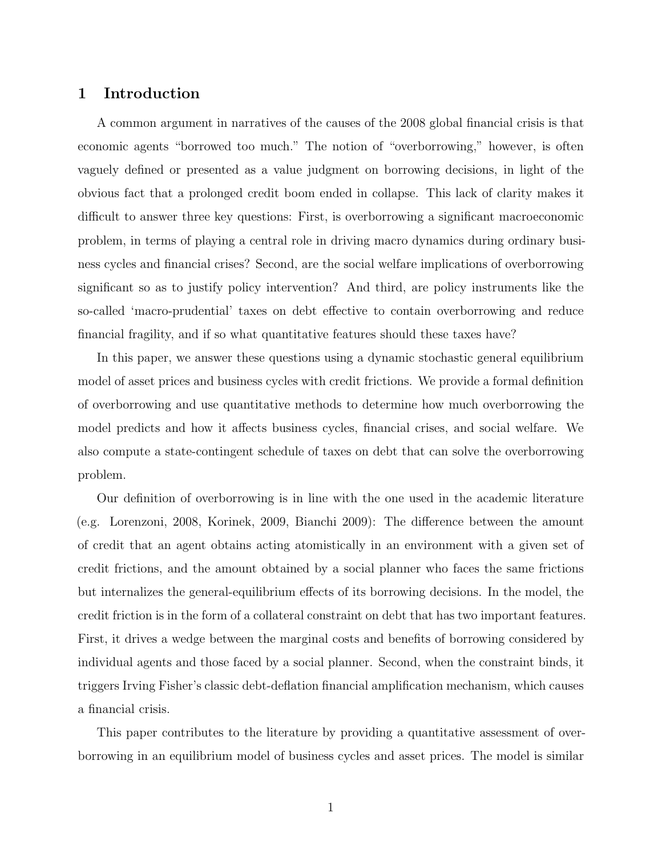# **1 Introduction**

A common argument in narratives of the causes of the 2008 global financial crisis is that economic agents "borrowed too much." The notion of "overborrowing," however, is often vaguely defined or presented as a value judgment on borrowing decisions, in light of the obvious fact that a prolonged credit boom ended in collapse. This lack of clarity makes it difficult to answer three key questions: First, is overborrowing a significant macroeconomic problem, in terms of playing a central role in driving macro dynamics during ordinary business cycles and financial crises? Second, are the social welfare implications of overborrowing significant so as to justify policy intervention? And third, are policy instruments like the so-called 'macro-prudential' taxes on debt effective to contain overborrowing and reduce financial fragility, and if so what quantitative features should these taxes have?

In this paper, we answer these questions using a dynamic stochastic general equilibrium model of asset prices and business cycles with credit frictions. We provide a formal definition of overborrowing and use quantitative methods to determine how much overborrowing the model predicts and how it affects business cycles, financial crises, and social welfare. We also compute a state-contingent schedule of taxes on debt that can solve the overborrowing problem.

Our definition of overborrowing is in line with the one used in the academic literature (e.g. Lorenzoni, 2008, Korinek, 2009, Bianchi 2009): The difference between the amount of credit that an agent obtains acting atomistically in an environment with a given set of credit frictions, and the amount obtained by a social planner who faces the same frictions but internalizes the general-equilibrium effects of its borrowing decisions. In the model, the credit friction is in the form of a collateral constraint on debt that has two important features. First, it drives a wedge between the marginal costs and benefits of borrowing considered by individual agents and those faced by a social planner. Second, when the constraint binds, it triggers Irving Fisher's classic debt-deflation financial amplification mechanism, which causes a financial crisis.

This paper contributes to the literature by providing a quantitative assessment of overborrowing in an equilibrium model of business cycles and asset prices. The model is similar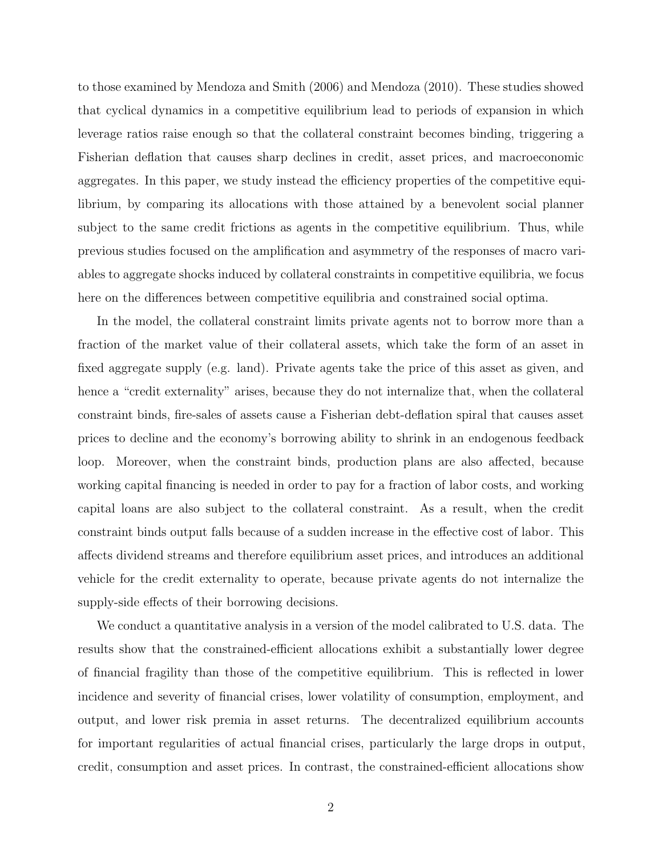to those examined by Mendoza and Smith (2006) and Mendoza (2010). These studies showed that cyclical dynamics in a competitive equilibrium lead to periods of expansion in which leverage ratios raise enough so that the collateral constraint becomes binding, triggering a Fisherian deflation that causes sharp declines in credit, asset prices, and macroeconomic aggregates. In this paper, we study instead the efficiency properties of the competitive equilibrium, by comparing its allocations with those attained by a benevolent social planner subject to the same credit frictions as agents in the competitive equilibrium. Thus, while previous studies focused on the amplification and asymmetry of the responses of macro variables to aggregate shocks induced by collateral constraints in competitive equilibria, we focus here on the differences between competitive equilibria and constrained social optima.

In the model, the collateral constraint limits private agents not to borrow more than a fraction of the market value of their collateral assets, which take the form of an asset in fixed aggregate supply (e.g. land). Private agents take the price of this asset as given, and hence a "credit externality" arises, because they do not internalize that, when the collateral constraint binds, fire-sales of assets cause a Fisherian debt-deflation spiral that causes asset prices to decline and the economy's borrowing ability to shrink in an endogenous feedback loop. Moreover, when the constraint binds, production plans are also affected, because working capital financing is needed in order to pay for a fraction of labor costs, and working capital loans are also subject to the collateral constraint. As a result, when the credit constraint binds output falls because of a sudden increase in the effective cost of labor. This affects dividend streams and therefore equilibrium asset prices, and introduces an additional vehicle for the credit externality to operate, because private agents do not internalize the supply-side effects of their borrowing decisions.

We conduct a quantitative analysis in a version of the model calibrated to U.S. data. The results show that the constrained-efficient allocations exhibit a substantially lower degree of financial fragility than those of the competitive equilibrium. This is reflected in lower incidence and severity of financial crises, lower volatility of consumption, employment, and output, and lower risk premia in asset returns. The decentralized equilibrium accounts for important regularities of actual financial crises, particularly the large drops in output, credit, consumption and asset prices. In contrast, the constrained-efficient allocations show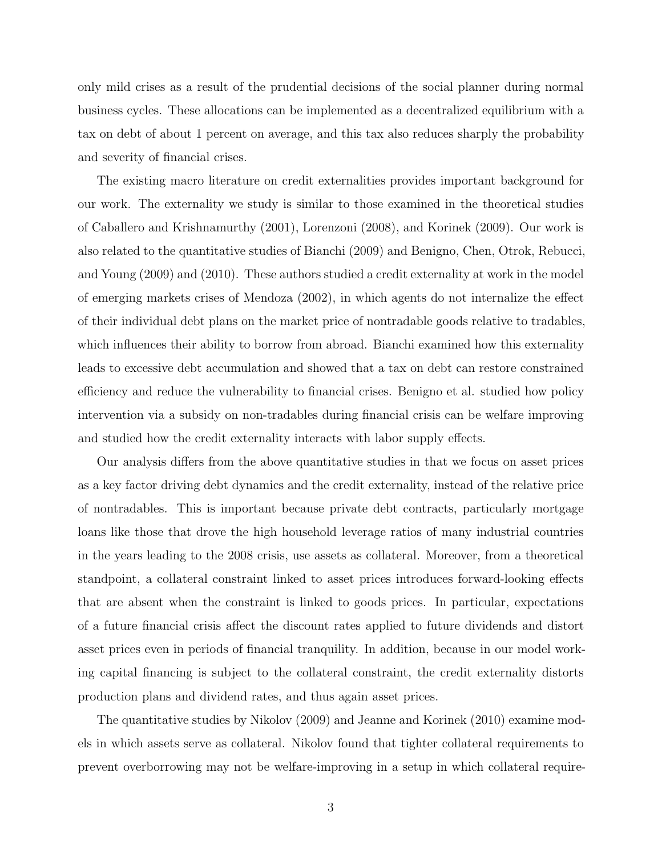only mild crises as a result of the prudential decisions of the social planner during normal business cycles. These allocations can be implemented as a decentralized equilibrium with a tax on debt of about 1 percent on average, and this tax also reduces sharply the probability and severity of financial crises.

The existing macro literature on credit externalities provides important background for our work. The externality we study is similar to those examined in the theoretical studies of Caballero and Krishnamurthy (2001), Lorenzoni (2008), and Korinek (2009). Our work is also related to the quantitative studies of Bianchi (2009) and Benigno, Chen, Otrok, Rebucci, and Young (2009) and (2010). These authors studied a credit externality at work in the model of emerging markets crises of Mendoza (2002), in which agents do not internalize the effect of their individual debt plans on the market price of nontradable goods relative to tradables, which influences their ability to borrow from abroad. Bianchi examined how this externality leads to excessive debt accumulation and showed that a tax on debt can restore constrained efficiency and reduce the vulnerability to financial crises. Benigno et al. studied how policy intervention via a subsidy on non-tradables during financial crisis can be welfare improving and studied how the credit externality interacts with labor supply effects.

Our analysis differs from the above quantitative studies in that we focus on asset prices as a key factor driving debt dynamics and the credit externality, instead of the relative price of nontradables. This is important because private debt contracts, particularly mortgage loans like those that drove the high household leverage ratios of many industrial countries in the years leading to the 2008 crisis, use assets as collateral. Moreover, from a theoretical standpoint, a collateral constraint linked to asset prices introduces forward-looking effects that are absent when the constraint is linked to goods prices. In particular, expectations of a future financial crisis affect the discount rates applied to future dividends and distort asset prices even in periods of financial tranquility. In addition, because in our model working capital financing is subject to the collateral constraint, the credit externality distorts production plans and dividend rates, and thus again asset prices.

The quantitative studies by Nikolov (2009) and Jeanne and Korinek (2010) examine models in which assets serve as collateral. Nikolov found that tighter collateral requirements to prevent overborrowing may not be welfare-improving in a setup in which collateral require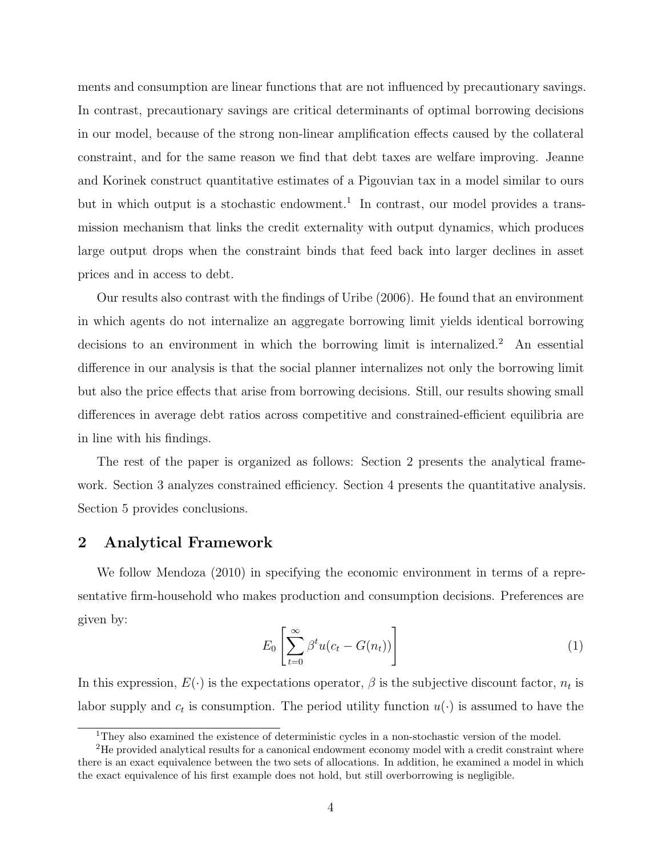ments and consumption are linear functions that are not influenced by precautionary savings. In contrast, precautionary savings are critical determinants of optimal borrowing decisions in our model, because of the strong non-linear amplification effects caused by the collateral constraint, and for the same reason we find that debt taxes are welfare improving. Jeanne and Korinek construct quantitative estimates of a Pigouvian tax in a model similar to ours but in which output is a stochastic endowment.<sup>1</sup> In contrast, our model provides a transmission mechanism that links the credit externality with output dynamics, which produces large output drops when the constraint binds that feed back into larger declines in asset prices and in access to debt.

Our results also contrast with the findings of Uribe (2006). He found that an environment in which agents do not internalize an aggregate borrowing limit yields identical borrowing decisions to an environment in which the borrowing limit is internalized.<sup>2</sup> An essential difference in our analysis is that the social planner internalizes not only the borrowing limit but also the price effects that arise from borrowing decisions. Still, our results showing small differences in average debt ratios across competitive and constrained-efficient equilibria are in line with his findings.

The rest of the paper is organized as follows: Section 2 presents the analytical framework. Section 3 analyzes constrained efficiency. Section 4 presents the quantitative analysis. Section 5 provides conclusions.

# **2 Analytical Framework**

We follow Mendoza (2010) in specifying the economic environment in terms of a representative firm-household who makes production and consumption decisions. Preferences are given by:

$$
E_0 \left[ \sum_{t=0}^{\infty} \beta^t u(c_t - G(n_t)) \right]
$$
 (1)

In this expression,  $E(\cdot)$  is the expectations operator,  $\beta$  is the subjective discount factor,  $n_t$  is labor supply and  $c_t$  is consumption. The period utility function  $u(\cdot)$  is assumed to have the

<sup>&</sup>lt;sup>1</sup>They also examined the existence of deterministic cycles in a non-stochastic version of the model.

<sup>2</sup>He provided analytical results for a canonical endowment economy model with a credit constraint where there is an exact equivalence between the two sets of allocations. In addition, he examined a model in which the exact equivalence of his first example does not hold, but still overborrowing is negligible.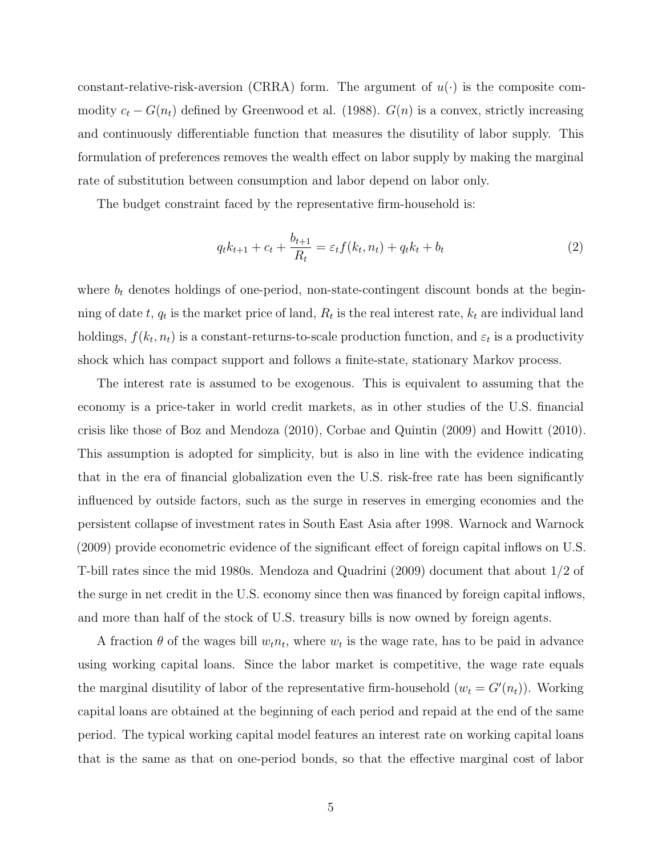constant-relative-risk-aversion (CRRA) form. The argument of  $u(\cdot)$  is the composite commodity  $c_t - G(n_t)$  defined by Greenwood et al. (1988).  $G(n)$  is a convex, strictly increasing and continuously differentiable function that measures the disutility of labor supply. This formulation of preferences removes the wealth effect on labor supply by making the marginal rate of substitution between consumption and labor depend on labor only.

The budget constraint faced by the representative firm-household is:

$$
q_t k_{t+1} + c_t + \frac{b_{t+1}}{R_t} = \varepsilon_t f(k_t, n_t) + q_t k_t + b_t
$$
\n(2)

where  $b_t$  denotes holdings of one-period, non-state-contingent discount bonds at the beginning of date  $t$ ,  $q_t$  is the market price of land,  $R_t$  is the real interest rate,  $k_t$  are individual land holdings,  $f(k_t, n_t)$  is a constant-returns-to-scale production function, and  $\varepsilon_t$  is a productivity shock which has compact support and follows a finite-state, stationary Markov process.

The interest rate is assumed to be exogenous. This is equivalent to assuming that the economy is a price-taker in world credit markets, as in other studies of the U.S. financial crisis like those of Boz and Mendoza (2010), Corbae and Quintin (2009) and Howitt (2010). This assumption is adopted for simplicity, but is also in line with the evidence indicating that in the era of financial globalization even the U.S. risk-free rate has been significantly influenced by outside factors, such as the surge in reserves in emerging economies and the persistent collapse of investment rates in South East Asia after 1998. Warnock and Warnock (2009) provide econometric evidence of the significant effect of foreign capital inflows on U.S. T-bill rates since the mid 1980s. Mendoza and Quadrini (2009) document that about 1/2 of the surge in net credit in the U.S. economy since then was financed by foreign capital inflows, and more than half of the stock of U.S. treasury bills is now owned by foreign agents.

A fraction  $\theta$  of the wages bill  $w_t n_t$ , where  $w_t$  is the wage rate, has to be paid in advance using working capital loans. Since the labor market is competitive, the wage rate equals the marginal disutility of labor of the representative firm-household  $(w_t = G'(n_t))$ . Working capital loans are obtained at the beginning of each period and repaid at the end of the same period. The typical working capital model features an interest rate on working capital loans that is the same as that on one-period bonds, so that the effective marginal cost of labor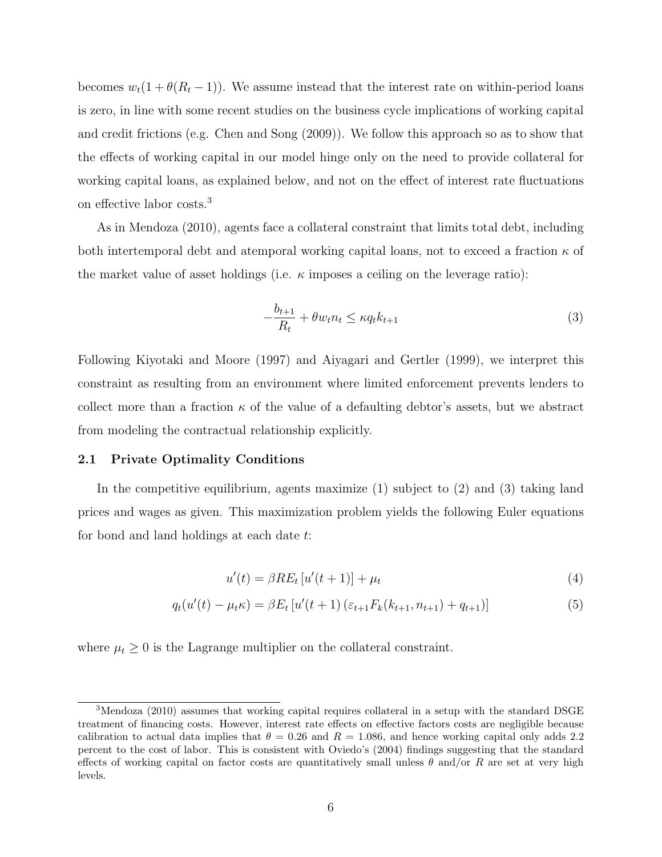becomes  $w_t(1 + \theta(R_t - 1))$ . We assume instead that the interest rate on within-period loans is zero, in line with some recent studies on the business cycle implications of working capital and credit frictions (e.g. Chen and Song (2009)). We follow this approach so as to show that the effects of working capital in our model hinge only on the need to provide collateral for working capital loans, as explained below, and not on the effect of interest rate fluctuations on effective labor costs.<sup>3</sup>

As in Mendoza (2010), agents face a collateral constraint that limits total debt, including both intertemporal debt and atemporal working capital loans, not to exceed a fraction *κ* of the market value of asset holdings (i.e. *κ* imposes a ceiling on the leverage ratio):

$$
-\frac{b_{t+1}}{R_t} + \theta w_t n_t \le \kappa q_t k_{t+1}
$$
\n<sup>(3)</sup>

Following Kiyotaki and Moore (1997) and Aiyagari and Gertler (1999), we interpret this constraint as resulting from an environment where limited enforcement prevents lenders to collect more than a fraction  $\kappa$  of the value of a defaulting debtor's assets, but we abstract from modeling the contractual relationship explicitly.

#### **2.1 Private Optimality Conditions**

In the competitive equilibrium, agents maximize (1) subject to (2) and (3) taking land prices and wages as given. This maximization problem yields the following Euler equations for bond and land holdings at each date *t*:

$$
u'(t) = \beta RE_t \left[ u'(t+1) \right] + \mu_t \tag{4}
$$

$$
q_t(u'(t) - \mu_t \kappa) = \beta E_t \left[ u'(t+1) \left( \varepsilon_{t+1} F_k(k_{t+1}, n_{t+1}) + q_{t+1} \right) \right]
$$
(5)

where  $\mu_t \geq 0$  is the Lagrange multiplier on the collateral constraint.

<sup>&</sup>lt;sup>3</sup>Mendoza (2010) assumes that working capital requires collateral in a setup with the standard DSGE treatment of financing costs. However, interest rate effects on effective factors costs are negligible because calibration to actual data implies that  $\theta = 0.26$  and  $R = 1.086$ , and hence working capital only adds 2.2 percent to the cost of labor. This is consistent with Oviedo's (2004) findings suggesting that the standard effects of working capital on factor costs are quantitatively small unless  $\theta$  and/or  $R$  are set at very high levels.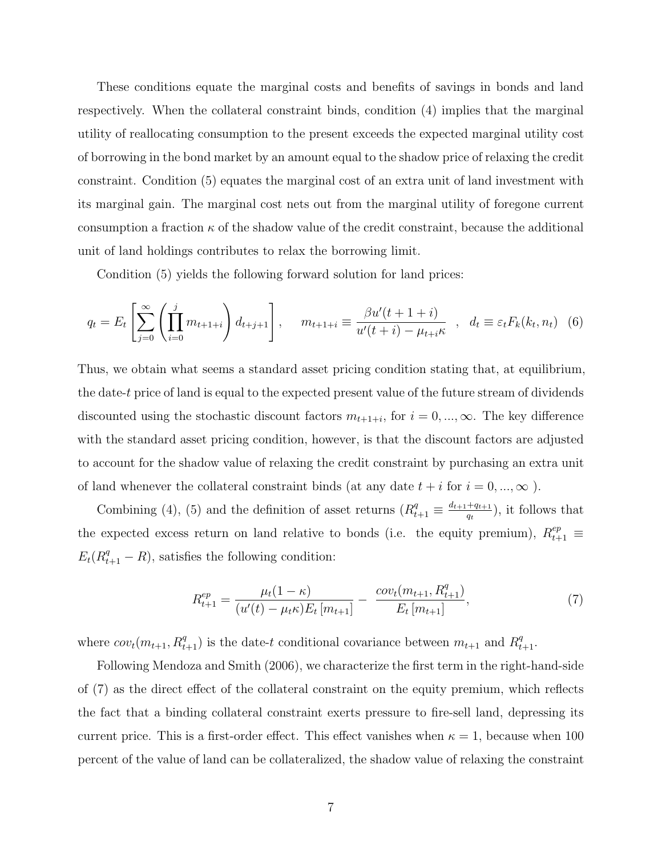These conditions equate the marginal costs and benefits of savings in bonds and land respectively. When the collateral constraint binds, condition (4) implies that the marginal utility of reallocating consumption to the present exceeds the expected marginal utility cost of borrowing in the bond market by an amount equal to the shadow price of relaxing the credit constraint. Condition (5) equates the marginal cost of an extra unit of land investment with its marginal gain. The marginal cost nets out from the marginal utility of foregone current consumption a fraction  $\kappa$  of the shadow value of the credit constraint, because the additional unit of land holdings contributes to relax the borrowing limit.

Condition (5) yields the following forward solution for land prices:

$$
q_t = E_t \left[ \sum_{j=0}^{\infty} \left( \prod_{i=0}^j m_{t+1+i} \right) d_{t+j+1} \right], \quad m_{t+1+i} \equiv \frac{\beta u'(t+1+i)}{u'(t+i) - \mu_{t+i} \kappa} , \quad d_t \equiv \varepsilon_t F_k(k_t, n_t) \tag{6}
$$

Thus, we obtain what seems a standard asset pricing condition stating that, at equilibrium, the date-*t* price of land is equal to the expected present value of the future stream of dividends discounted using the stochastic discount factors  $m_{t+1+i}$ , for  $i = 0, ..., \infty$ . The key difference with the standard asset pricing condition, however, is that the discount factors are adjusted to account for the shadow value of relaxing the credit constraint by purchasing an extra unit of land whenever the collateral constraint binds (at any date  $t+i$  for  $i=0,...,\infty$  ).

Combining (4), (5) and the definition of asset returns  $(R_{t+1}^q \equiv \frac{d_{t+1}+q_{t+1}}{q_t}$  $\frac{+q_{t+1}}{q_t}$ , it follows that the expected excess return on land relative to bonds (i.e. the equity premium),  $R_{t+1}^{ep} \equiv$  $E_t(R_{t+1}^q - R)$ , satisfies the following condition:

$$
R_{t+1}^{ep} = \frac{\mu_t (1 - \kappa)}{(u'(t) - \mu_t \kappa) E_t [m_{t+1}]} - \frac{cov_t(m_{t+1}, R_{t+1}^q)}{E_t [m_{t+1}]}, \tag{7}
$$

where  $cov_t(m_{t+1}, R_{t+1}^q)$  is the date-*t* conditional covariance between  $m_{t+1}$  and  $R_{t+1}^q$ .

Following Mendoza and Smith (2006), we characterize the first term in the right-hand-side of (7) as the direct effect of the collateral constraint on the equity premium, which reflects the fact that a binding collateral constraint exerts pressure to fire-sell land, depressing its current price. This is a first-order effect. This effect vanishes when  $\kappa = 1$ , because when 100 percent of the value of land can be collateralized, the shadow value of relaxing the constraint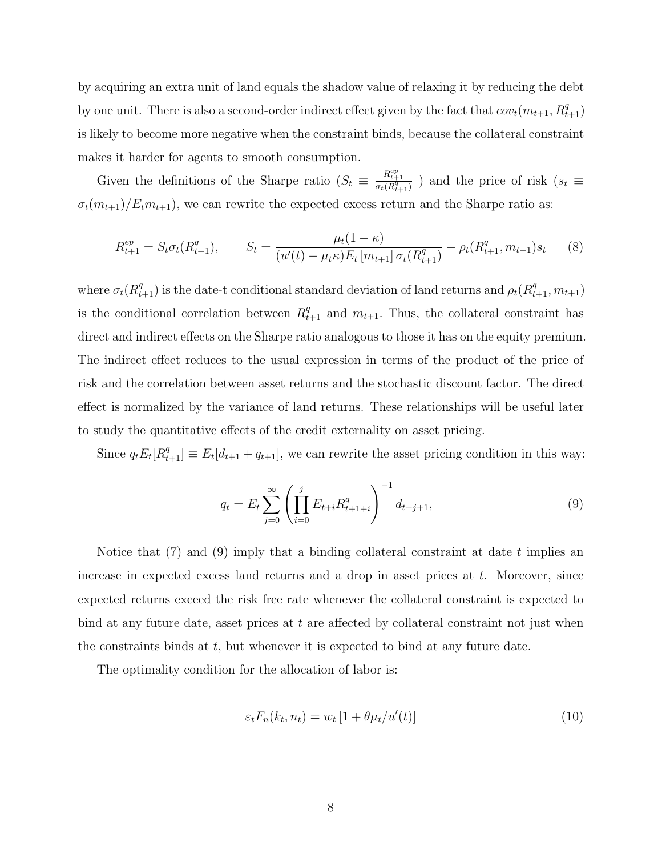by acquiring an extra unit of land equals the shadow value of relaxing it by reducing the debt by one unit. There is also a second-order indirect effect given by the fact that  $cov_t(m_{t+1}, R_{t+1}^q)$ is likely to become more negative when the constraint binds, because the collateral constraint makes it harder for agents to smooth consumption.

Given the definitions of the Sharpe ratio  $(S_t \equiv \frac{R_{t+1}^{ep}}{\sigma_t(R_{t+1}^q)} )$  and the price of risk  $(s_t \equiv$  $\sigma_t(m_{t+1})/E_t m_{t+1}$ , we can rewrite the expected excess return and the Sharpe ratio as:

$$
R_{t+1}^{ep} = S_t \sigma_t(R_{t+1}^q), \qquad S_t = \frac{\mu_t(1-\kappa)}{(u'(t) - \mu_t \kappa)E_t[m_{t+1}]\sigma_t(R_{t+1}^q)} - \rho_t(R_{t+1}^q, m_{t+1})s_t \qquad (8)
$$

where  $\sigma_t(R_{t+1}^q)$  is the date-t conditional standard deviation of land returns and  $\rho_t(R_{t+1}^q, m_{t+1})$ is the conditional correlation between  $R_{t+1}^q$  and  $m_{t+1}$ . Thus, the collateral constraint has direct and indirect effects on the Sharpe ratio analogous to those it has on the equity premium. The indirect effect reduces to the usual expression in terms of the product of the price of risk and the correlation between asset returns and the stochastic discount factor. The direct effect is normalized by the variance of land returns. These relationships will be useful later to study the quantitative effects of the credit externality on asset pricing.

Since  $q_t E_t[R_{t+1}^q] \equiv E_t[d_{t+1} + q_{t+1}]$ , we can rewrite the asset pricing condition in this way:

$$
q_t = E_t \sum_{j=0}^{\infty} \left( \prod_{i=0}^{j} E_{t+i} R_{t+1+i}^q \right)^{-1} d_{t+j+1}, \tag{9}
$$

Notice that (7) and (9) imply that a binding collateral constraint at date *t* implies an increase in expected excess land returns and a drop in asset prices at *t*. Moreover, since expected returns exceed the risk free rate whenever the collateral constraint is expected to bind at any future date, asset prices at *t* are affected by collateral constraint not just when the constraints binds at *t*, but whenever it is expected to bind at any future date.

The optimality condition for the allocation of labor is:

$$
\varepsilon_t F_n(k_t, n_t) = w_t \left[ 1 + \theta \mu_t / u'(t) \right] \tag{10}
$$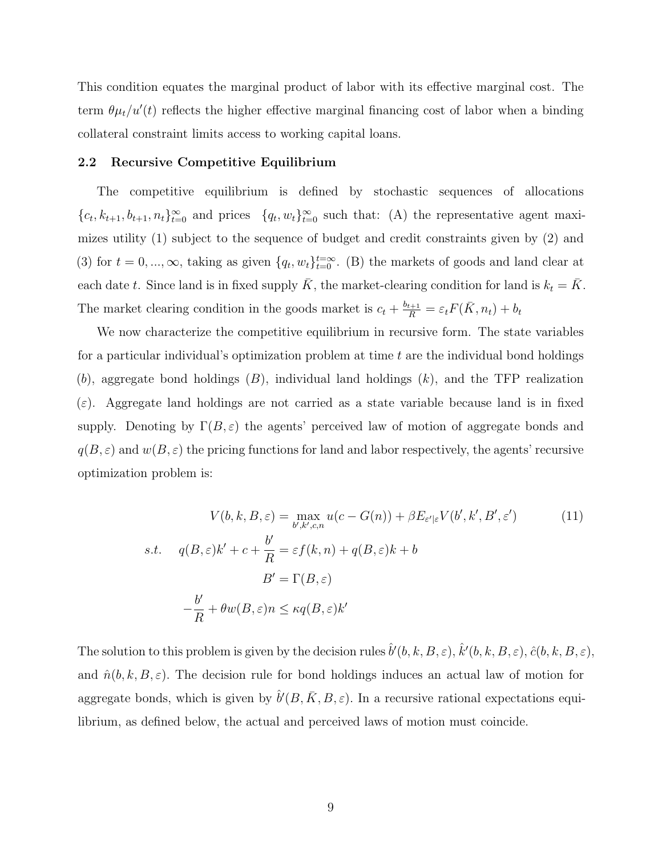This condition equates the marginal product of labor with its effective marginal cost. The term  $\theta \mu_t / u'(t)$  reflects the higher effective marginal financing cost of labor when a binding collateral constraint limits access to working capital loans.

#### **2.2 Recursive Competitive Equilibrium**

The competitive equilibrium is defined by stochastic sequences of allocations  ${c_t, k_{t+1}, b_{t+1}, n_t}_{t=0}^{\infty}$  and prices  ${q_t, w_t}_{t=0}^{\infty}$  such that: (A) the representative agent maximizes utility (1) subject to the sequence of budget and credit constraints given by (2) and (3) for  $t = 0, ..., \infty$ , taking as given  $\{q_t, w_t\}_{t=0}^{t=\infty}$ . (B) the markets of goods and land clear at each date *t*. Since land is in fixed supply  $\bar{K}$ , the market-clearing condition for land is  $k_t = \bar{K}$ . The market clearing condition in the goods market is  $c_t + \frac{b_{t+1}}{R} = \varepsilon_t F(\bar{K}, n_t) + b_t$ 

We now characterize the competitive equilibrium in recursive form. The state variables for a particular individual's optimization problem at time *t* are the individual bond holdings (*b*), aggregate bond holdings (*B*), individual land holdings (*k*), and the TFP realization  $(\varepsilon)$ . Aggregate land holdings are not carried as a state variable because land is in fixed supply. Denoting by  $\Gamma(B,\varepsilon)$  the agents' perceived law of motion of aggregate bonds and  $q(B, \varepsilon)$  and  $w(B, \varepsilon)$  the pricing functions for land and labor respectively, the agents' recursive optimization problem is:

$$
V(b, k, B, \varepsilon) = \max_{b', k', c, n} u(c - G(n)) + \beta E_{\varepsilon'|\varepsilon} V(b', k', B', \varepsilon')
$$
(11)  
s.t. 
$$
q(B, \varepsilon)k' + c + \frac{b'}{R} = \varepsilon f(k, n) + q(B, \varepsilon)k + b
$$

$$
B' = \Gamma(B, \varepsilon)
$$

$$
-\frac{b'}{R} + \theta w(B, \varepsilon) n \le \kappa q(B, \varepsilon) k'
$$

The solution to this problem is given by the decision rules  $\hat{b}'(b, k, B, \varepsilon)$ ,  $\hat{k}'(b, k, B, \varepsilon)$ ,  $\hat{c}(b, k, B, \varepsilon)$ , and  $\hat{n}(b, k, B, \varepsilon)$ . The decision rule for bond holdings induces an actual law of motion for aggregate bonds, which is given by  $\hat{b}'(B,\bar{K},B,\varepsilon)$ . In a recursive rational expectations equilibrium, as defined below, the actual and perceived laws of motion must coincide.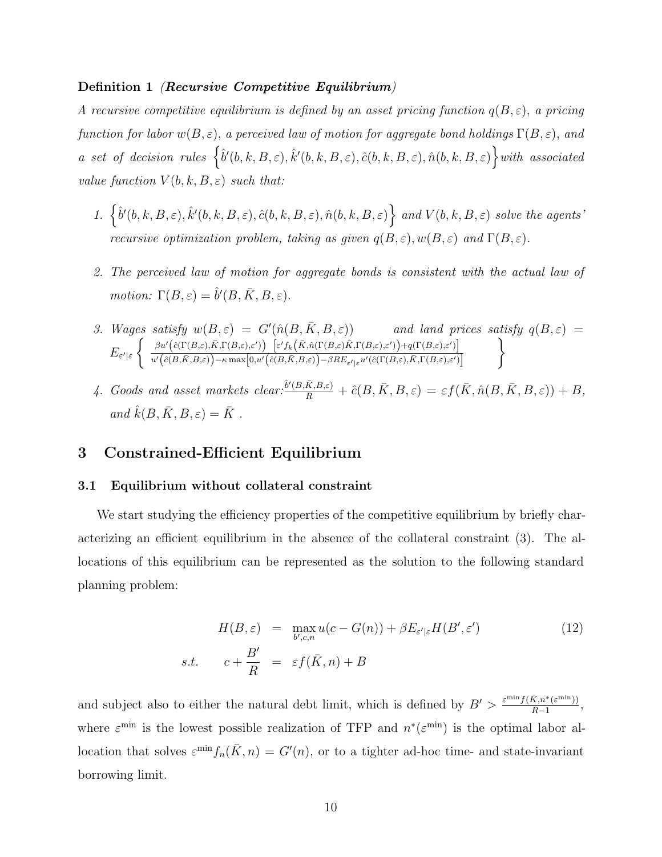#### **Definition 1** *(Recursive Competitive Equilibrium)*

*A recursive competitive equilibrium is defined by an asset pricing function*  $q(B,\varepsilon)$ , *a pricing function for labor*  $w(B, \varepsilon)$ *, a perceived law of motion for aggregate bond holdings*  $\Gamma(B, \varepsilon)$ *, and a* set of decision rules  $\left\{ \hat{b}^{\prime}(b,k,B,\varepsilon),\hat{k}^{\prime}(b,k,B,\varepsilon),\hat{c}(b,k,B,\varepsilon),\hat{n}(b,k,B,\varepsilon) \right\}$  with associated *value function*  $V(b, k, B, \varepsilon)$  *such that:* 

- 1.  $\{\hat{b}'(b,k,B,\varepsilon), \hat{k}'(b,k,B,\varepsilon), \hat{c}(b,k,B,\varepsilon), \hat{n}(b,k,B,\varepsilon)\}$  and  $V(b,k,B,\varepsilon)$  solve the agents *recursive optimization problem, taking as given*  $q(B, \varepsilon), w(B, \varepsilon)$  *and*  $\Gamma(B, \varepsilon)$ *.*
- *2. The perceived law of motion for aggregate bonds is consistent with the actual law of motion:*  $\Gamma(B,\varepsilon) = \hat{b}'(B,\bar{K},B,\varepsilon)$ *.*
- *3. Wages satisfy*  $w(B, \varepsilon) = G'(\hat{n}(B, \bar{K}, B, \varepsilon))$  *and land prices satisfy*  $q(B, \varepsilon) =$  $E_{\varepsilon'|\varepsilon}$  $\int \quad \beta u' \big( \hat{c}(\Gamma(B,\varepsilon),\bar{K},\Gamma(B,\varepsilon),\varepsilon') \big) \quad \big[ \varepsilon' f_k \Big( \bar{K}, \hat{n}(\Gamma(B,\varepsilon),\bar{K},\Gamma(B,\varepsilon),\varepsilon') \Big) + q(\Gamma(B,\varepsilon),\varepsilon') \big]$  $u'\big(\hat{c}(B,\bar{K},B,\varepsilon)\big)-\kappa\max\!\left[0,u'\Big(\hat{c}(B,\bar{K},B,\varepsilon)\Big)\!-\!\beta RE_{\varepsilon'\mid\varepsilon}u'\big(\hat{c}(\Gamma(B,\varepsilon),\bar{K},\Gamma(B,\varepsilon),\varepsilon')\Big]$  $\mathcal{L}$
- *4.* Goods and asset markets clear: $\frac{\hat{b}'(B,\bar{K},B,\varepsilon)}{R} + \hat{c}(B,\bar{K},B,\varepsilon) = \varepsilon f(\bar{K},\hat{n}(B,\bar{K},B,\varepsilon)) + B$ ,  $and \hat{k}(B,\bar{K},B,\varepsilon)=\bar{K}$ .

# **3 Constrained-Efficient Equilibrium**

## **3.1 Equilibrium without collateral constraint**

We start studying the efficiency properties of the competitive equilibrium by briefly characterizing an efficient equilibrium in the absence of the collateral constraint (3). The allocations of this equilibrium can be represented as the solution to the following standard planning problem:

$$
H(B, \varepsilon) = \max_{b', c, n} u(c - G(n)) + \beta E_{\varepsilon'|\varepsilon} H(B', \varepsilon')
$$
(12)  
s.t. 
$$
c + \frac{B'}{R} = \varepsilon f(\bar{K}, n) + B
$$

and subject also to either the natural debt limit, which is defined by  $B' > \frac{\varepsilon^{\min} f(\bar{K}, n^*(\varepsilon^{\min}))}{B-1}$  $\frac{R, n^*(\varepsilon^{\text{mm}}))}{R-1},$ where  $\varepsilon^{\min}$  is the lowest possible realization of TFP and  $n^*(\varepsilon^{\min})$  is the optimal labor allocation that solves  $\varepsilon^{\min} f_n(\bar{K}, n) = G'(n)$ , or to a tighter ad-hoc time- and state-invariant borrowing limit.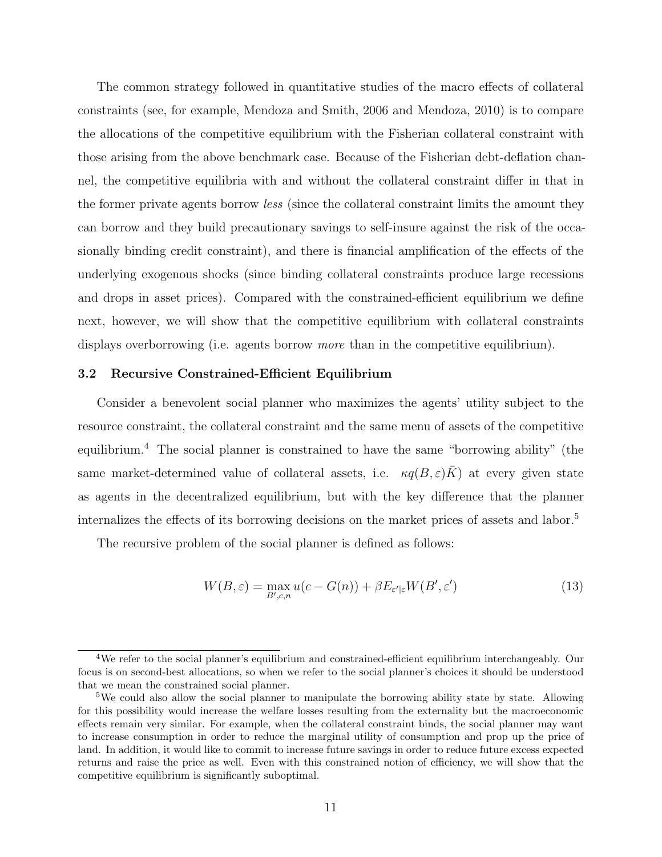The common strategy followed in quantitative studies of the macro effects of collateral constraints (see, for example, Mendoza and Smith, 2006 and Mendoza, 2010) is to compare the allocations of the competitive equilibrium with the Fisherian collateral constraint with those arising from the above benchmark case. Because of the Fisherian debt-deflation channel, the competitive equilibria with and without the collateral constraint differ in that in the former private agents borrow *less* (since the collateral constraint limits the amount they can borrow and they build precautionary savings to self-insure against the risk of the occasionally binding credit constraint), and there is financial amplification of the effects of the underlying exogenous shocks (since binding collateral constraints produce large recessions and drops in asset prices). Compared with the constrained-efficient equilibrium we define next, however, we will show that the competitive equilibrium with collateral constraints displays overborrowing (i.e. agents borrow *more* than in the competitive equilibrium).

#### **3.2 Recursive Constrained-Efficient Equilibrium**

Consider a benevolent social planner who maximizes the agents' utility subject to the resource constraint, the collateral constraint and the same menu of assets of the competitive equilibrium.<sup>4</sup> The social planner is constrained to have the same "borrowing ability" (the same market-determined value of collateral assets, i.e.  $\kappa q(B,\varepsilon)K$  at every given state as agents in the decentralized equilibrium, but with the key difference that the planner internalizes the effects of its borrowing decisions on the market prices of assets and labor.<sup>5</sup>

The recursive problem of the social planner is defined as follows:

$$
W(B,\varepsilon) = \max_{B',c,n} u(c - G(n)) + \beta E_{\varepsilon'|\varepsilon} W(B',\varepsilon')
$$
\n(13)

<sup>4</sup>We refer to the social planner's equilibrium and constrained-efficient equilibrium interchangeably. Our focus is on second-best allocations, so when we refer to the social planner's choices it should be understood that we mean the constrained social planner.

<sup>&</sup>lt;sup>5</sup>We could also allow the social planner to manipulate the borrowing ability state by state. Allowing for this possibility would increase the welfare losses resulting from the externality but the macroeconomic effects remain very similar. For example, when the collateral constraint binds, the social planner may want to increase consumption in order to reduce the marginal utility of consumption and prop up the price of land. In addition, it would like to commit to increase future savings in order to reduce future excess expected returns and raise the price as well. Even with this constrained notion of efficiency, we will show that the competitive equilibrium is significantly suboptimal.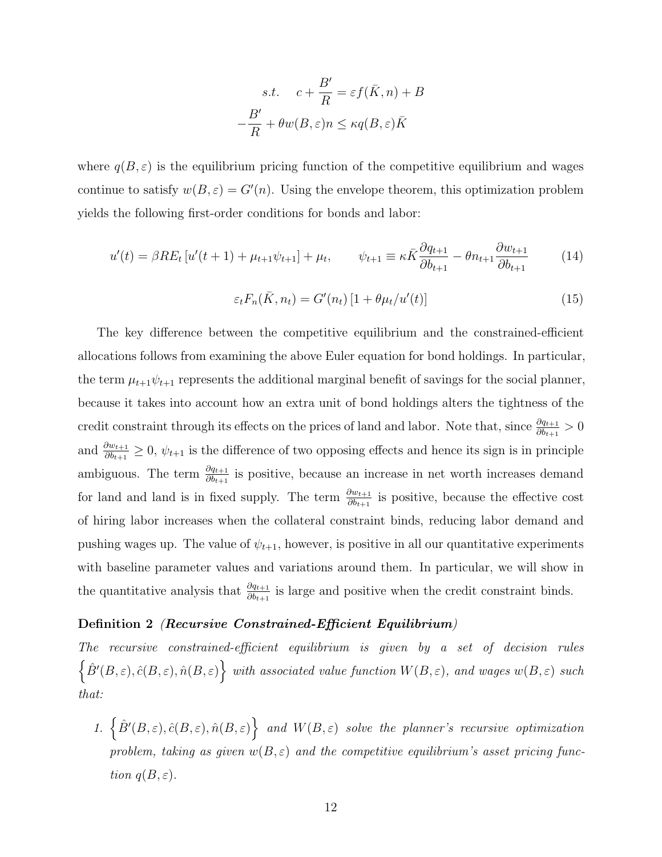$$
s.t. \quad c + \frac{B'}{R} = \varepsilon f(\bar{K}, n) + B
$$

$$
-\frac{B'}{R} + \theta w(B, \varepsilon) n \le \kappa q(B, \varepsilon) \bar{K}
$$

where  $q(B, \varepsilon)$  is the equilibrium pricing function of the competitive equilibrium and wages continue to satisfy  $w(B, \varepsilon) = G'(n)$ . Using the envelope theorem, this optimization problem yields the following first-order conditions for bonds and labor:

$$
u'(t) = \beta RE_t \left[ u'(t+1) + \mu_{t+1} \psi_{t+1} \right] + \mu_t, \qquad \psi_{t+1} \equiv \kappa \bar{K} \frac{\partial q_{t+1}}{\partial b_{t+1}} - \theta n_{t+1} \frac{\partial w_{t+1}}{\partial b_{t+1}} \tag{14}
$$

$$
\varepsilon_t F_n(\bar{K}, n_t) = G'(n_t) \left[ 1 + \theta \mu_t / u'(t) \right] \tag{15}
$$

The key difference between the competitive equilibrium and the constrained-efficient allocations follows from examining the above Euler equation for bond holdings. In particular, the term  $\mu_{t+1}\psi_{t+1}$  represents the additional marginal benefit of savings for the social planner, because it takes into account how an extra unit of bond holdings alters the tightness of the credit constraint through its effects on the prices of land and labor. Note that, since  $\frac{\partial q_{t+1}}{\partial b_{t+1}} > 0$ and  $\frac{\partial w_{t+1}}{\partial b_{t+1}} \geq 0$ ,  $\psi_{t+1}$  is the difference of two opposing effects and hence its sign is in principle ambiguous. The term  $\frac{\partial q_{t+1}}{\partial b_{t+1}}$  is positive, because an increase in net worth increases demand for land and land is in fixed supply. The term  $\frac{\partial w_{t+1}}{\partial b_{t+1}}$  is positive, because the effective cost of hiring labor increases when the collateral constraint binds, reducing labor demand and pushing wages up. The value of  $\psi_{t+1}$ , however, is positive in all our quantitative experiments with baseline parameter values and variations around them. In particular, we will show in the quantitative analysis that  $\frac{\partial q_{t+1}}{\partial b_{t+1}}$  is large and positive when the credit constraint binds.

## **Definition 2** *(Recursive Constrained-Efficient Equilibrium)*

*The recursive constrained-efficient equilibrium is given by a set of decision rules*  $\left\{\hat{B}'(B,\varepsilon),\hat{c}(B,\varepsilon),\hat{n}(B,\varepsilon)\right\}$  with associated value function  $W(B,\varepsilon)$ *, and wages*  $w(B,\varepsilon)$  such *that:*

1.  $\left\{\hat{B}^{\prime}(B,\varepsilon),\hat{c}(B,\varepsilon),\hat{n}(B,\varepsilon)\right\}$  and  $W(B,\varepsilon)$  solve the planner's recursive optimization *problem, taking as given*  $w(B, \varepsilon)$  *and the competitive equilibrium's asset pricing function*  $q(B, \varepsilon)$ *.*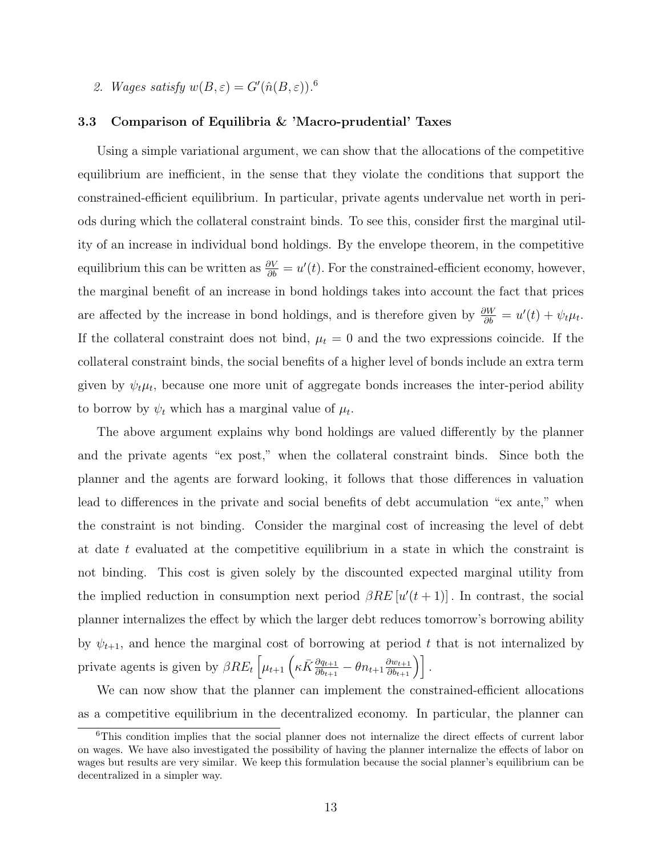2. *Wages satisfy*  $w(B, \varepsilon) = G'(\hat{n}(B, \varepsilon))$ .<sup>6</sup>

#### **3.3 Comparison of Equilibria & 'Macro-prudential' Taxes**

Using a simple variational argument, we can show that the allocations of the competitive equilibrium are inefficient, in the sense that they violate the conditions that support the constrained-efficient equilibrium. In particular, private agents undervalue net worth in periods during which the collateral constraint binds. To see this, consider first the marginal utility of an increase in individual bond holdings. By the envelope theorem, in the competitive equilibrium this can be written as  $\frac{\partial V}{\partial b} = u'(t)$ . For the constrained-efficient economy, however, the marginal benefit of an increase in bond holdings takes into account the fact that prices are affected by the increase in bond holdings, and is therefore given by  $\frac{\partial W}{\partial b} = u'(t) + \psi_t \mu_t$ . If the collateral constraint does not bind,  $\mu_t = 0$  and the two expressions coincide. If the collateral constraint binds, the social benefits of a higher level of bonds include an extra term given by  $\psi_t \mu_t$ , because one more unit of aggregate bonds increases the inter-period ability to borrow by  $\psi_t$  which has a marginal value of  $\mu_t$ .

The above argument explains why bond holdings are valued differently by the planner and the private agents "ex post," when the collateral constraint binds. Since both the planner and the agents are forward looking, it follows that those differences in valuation lead to differences in the private and social benefits of debt accumulation "ex ante," when the constraint is not binding. Consider the marginal cost of increasing the level of debt at date *t* evaluated at the competitive equilibrium in a state in which the constraint is not binding. This cost is given solely by the discounted expected marginal utility from the implied reduction in consumption next period  $\beta RE[u'(t+1)]$ . In contrast, the social planner internalizes the effect by which the larger debt reduces tomorrow's borrowing ability by  $\psi_{t+1}$ , and hence the marginal cost of borrowing at period t that is not internalized by private agents is given by  $\beta RE_t \left[ \mu_{t+1} \left( \kappa \bar{K} \frac{\partial q_{t+1}}{\partial b_{t+1}} - \theta n_{t+1} \frac{\partial w_{t+1}}{\partial b_{t+1}} \right) \right]$ .

We can now show that the planner can implement the constrained-efficient allocations as a competitive equilibrium in the decentralized economy. In particular, the planner can

<sup>&</sup>lt;sup>6</sup>This condition implies that the social planner does not internalize the direct effects of current labor on wages. We have also investigated the possibility of having the planner internalize the effects of labor on wages but results are very similar. We keep this formulation because the social planner's equilibrium can be decentralized in a simpler way.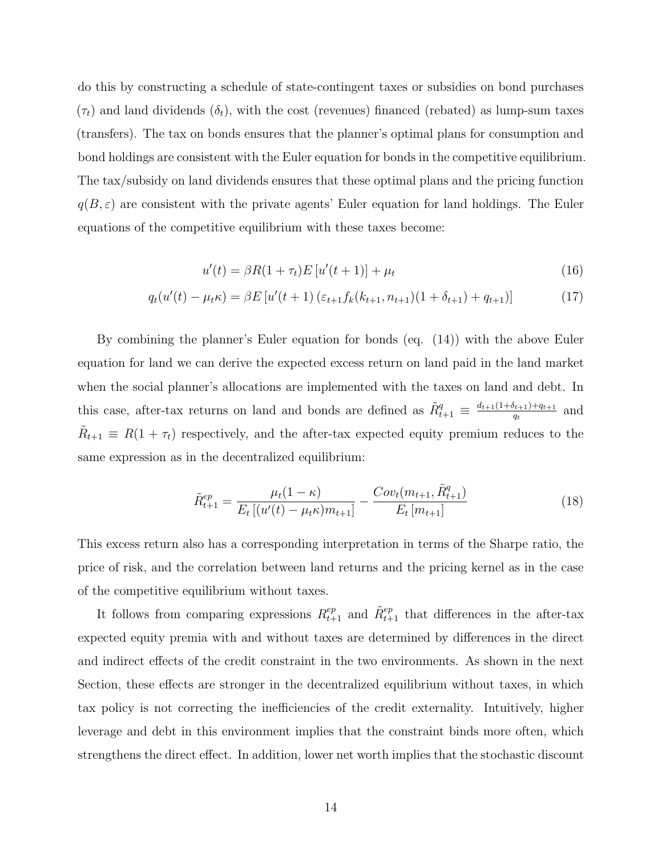do this by constructing a schedule of state-contingent taxes or subsidies on bond purchases  $(\tau_t)$  and land dividends  $(\delta_t)$ , with the cost (revenues) financed (rebated) as lump-sum taxes (transfers). The tax on bonds ensures that the planner's optimal plans for consumption and bond holdings are consistent with the Euler equation for bonds in the competitive equilibrium. The tax/subsidy on land dividends ensures that these optimal plans and the pricing function  $q(B, \varepsilon)$  are consistent with the private agents' Euler equation for land holdings. The Euler equations of the competitive equilibrium with these taxes become:

$$
u'(t) = \beta R(1 + \tau_t) E[u'(t+1)] + \mu_t
$$
\n(16)

$$
q_t(u'(t) - \mu_t \kappa) = \beta E \left[ u'(t+1) \left( \varepsilon_{t+1} f_k(k_{t+1}, n_{t+1}) (1 + \delta_{t+1}) + q_{t+1} \right) \right]
$$
(17)

By combining the planner's Euler equation for bonds (eq. (14)) with the above Euler equation for land we can derive the expected excess return on land paid in the land market when the social planner's allocations are implemented with the taxes on land and debt. In this case, after-tax returns on land and bonds are defined as  $\tilde{R}^q_{t+1} \equiv \frac{d_{t+1}(1+\delta_{t+1})+q_{t+1}}{q_t}$  $\frac{q_{t+1}+q_{t+1}}{q_t}$  and  $\tilde{R}_{t+1} \equiv R(1 + \tau_t)$  respectively, and the after-tax expected equity premium reduces to the same expression as in the decentralized equilibrium:

$$
\tilde{R}_{t+1}^{ep} = \frac{\mu_t (1 - \kappa)}{E_t \left[ (u'(t) - \mu_t \kappa) m_{t+1} \right]} - \frac{Cov_t(m_{t+1}, \tilde{R}_{t+1}^q)}{E_t \left[ m_{t+1} \right]}
$$
(18)

This excess return also has a corresponding interpretation in terms of the Sharpe ratio, the price of risk, and the correlation between land returns and the pricing kernel as in the case of the competitive equilibrium without taxes.

It follows from comparing expressions  $R_{t+1}^{ep}$  and  $\tilde{R}_{t+1}^{ep}$  that differences in the after-tax expected equity premia with and without taxes are determined by differences in the direct and indirect effects of the credit constraint in the two environments. As shown in the next Section, these effects are stronger in the decentralized equilibrium without taxes, in which tax policy is not correcting the inefficiencies of the credit externality. Intuitively, higher leverage and debt in this environment implies that the constraint binds more often, which strengthens the direct effect. In addition, lower net worth implies that the stochastic discount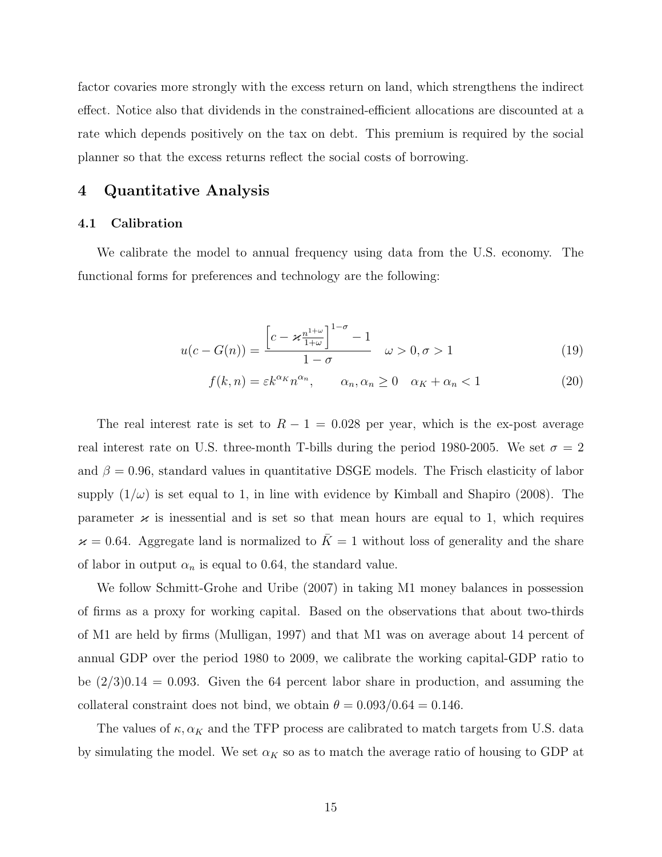factor covaries more strongly with the excess return on land, which strengthens the indirect effect. Notice also that dividends in the constrained-efficient allocations are discounted at a rate which depends positively on the tax on debt. This premium is required by the social planner so that the excess returns reflect the social costs of borrowing.

# **4 Quantitative Analysis**

## **4.1 Calibration**

We calibrate the model to annual frequency using data from the U.S. economy. The functional forms for preferences and technology are the following:

$$
u(c - G(n)) = \frac{\left[c - \varkappa \frac{n^{1+\omega}}{1+\omega}\right]^{1-\sigma} - 1}{1-\sigma} \quad \omega > 0, \sigma > 1 \tag{19}
$$

$$
f(k,n) = \varepsilon k^{\alpha_K} n^{\alpha_n}, \qquad \alpha_n, \alpha_n \ge 0 \quad \alpha_K + \alpha_n < 1 \tag{20}
$$

The real interest rate is set to  $R-1 = 0.028$  per year, which is the ex-post average real interest rate on U.S. three-month T-bills during the period 1980-2005. We set  $\sigma = 2$ and  $\beta = 0.96$ , standard values in quantitative DSGE models. The Frisch elasticity of labor supply  $(1/\omega)$  is set equal to 1, in line with evidence by Kimball and Shapiro (2008). The parameter  $\varkappa$  is inessential and is set so that mean hours are equal to 1, which requires  $\varkappa = 0.64$ . Aggregate land is normalized to  $\bar{K} = 1$  without loss of generality and the share of labor in output  $\alpha_n$  is equal to 0.64, the standard value.

We follow Schmitt-Grohe and Uribe (2007) in taking M1 money balances in possession of firms as a proxy for working capital. Based on the observations that about two-thirds of M1 are held by firms (Mulligan, 1997) and that M1 was on average about 14 percent of annual GDP over the period 1980 to 2009, we calibrate the working capital-GDP ratio to be  $(2/3)0.14 = 0.093$ . Given the 64 percent labor share in production, and assuming the collateral constraint does not bind, we obtain  $\theta = 0.093/0.64 = 0.146$ .

The values of  $\kappa, \alpha_K$  and the TFP process are calibrated to match targets from U.S. data by simulating the model. We set  $\alpha_K$  so as to match the average ratio of housing to GDP at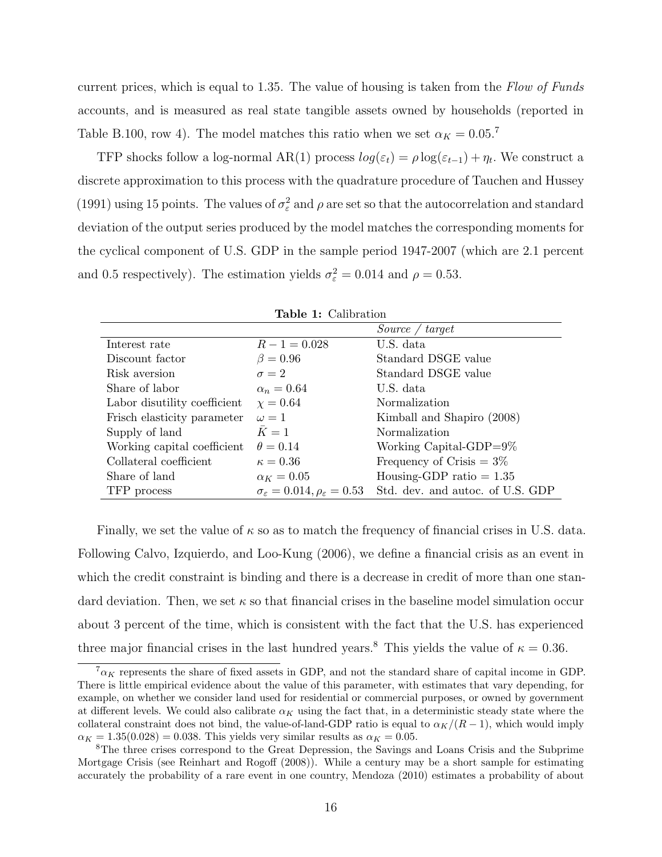current prices, which is equal to 1.35. The value of housing is taken from the *Flow of Funds* accounts, and is measured as real state tangible assets owned by households (reported in Table B.100, row 4). The model matches this ratio when we set  $\alpha_K = 0.05$ .<sup>7</sup>

TFP shocks follow a log-normal AR(1) process  $log(\varepsilon_t) = \rho log(\varepsilon_{t-1}) + \eta_t$ . We construct a discrete approximation to this process with the quadrature procedure of Tauchen and Hussey (1991) using 15 points. The values of  $\sigma_{\varepsilon}^2$  and  $\rho$  are set so that the autocorrelation and standard deviation of the output series produced by the model matches the corresponding moments for the cyclical component of U.S. GDP in the sample period 1947-2007 (which are 2.1 percent and 0.5 respectively). The estimation yields  $\sigma_{\varepsilon}^2 = 0.014$  and  $\rho = 0.53$ .

|                              | <b>Table 1:</b> Calibration                               |                                  |
|------------------------------|-----------------------------------------------------------|----------------------------------|
|                              |                                                           | Source / target                  |
| Interest rate                | $R - 1 = 0.028$                                           | U.S. data                        |
| Discount factor              | $\beta = 0.96$                                            | Standard DSGE value              |
| Risk aversion                | $\sigma = 2$                                              | Standard DSGE value              |
| Share of labor               | $\alpha_n = 0.64$                                         | U.S. data                        |
| Labor disutility coefficient | $\chi = 0.64$                                             | Normalization                    |
| Frisch elasticity parameter  | $\omega = 1$                                              | Kimball and Shapiro (2008)       |
| Supply of land               | $\bar{K}=1$                                               | Normalization                    |
| Working capital coefficient  | $\theta = 0.14$                                           | Working Capital-GDP= $9\%$       |
| Collateral coefficient       | $\kappa = 0.36$                                           | Frequency of Crisis $= 3\%$      |
| Share of land                | $\alpha_K = 0.05$                                         | Housing-GDP ratio $= 1.35$       |
| TFP process                  | $\sigma_{\varepsilon} = 0.014, \rho_{\varepsilon} = 0.53$ | Std. dev. and autoc. of U.S. GDP |

| Table 1: Calibration |  |
|----------------------|--|
|----------------------|--|

Finally, we set the value of *κ* so as to match the frequency of financial crises in U.S. data. Following Calvo, Izquierdo, and Loo-Kung (2006), we define a financial crisis as an event in which the credit constraint is binding and there is a decrease in credit of more than one standard deviation. Then, we set  $\kappa$  so that financial crises in the baseline model simulation occur about 3 percent of the time, which is consistent with the fact that the U.S. has experienced three major financial crises in the last hundred years.<sup>8</sup> This yields the value of  $\kappa = 0.36$ *.* 

 $7a_K$  represents the share of fixed assets in GDP, and not the standard share of capital income in GDP. There is little empirical evidence about the value of this parameter, with estimates that vary depending, for example, on whether we consider land used for residential or commercial purposes, or owned by government at different levels. We could also calibrate  $\alpha_K$  using the fact that, in a deterministic steady state where the collateral constraint does not bind, the value-of-land-GDP ratio is equal to  $\alpha_K/(R-1)$ , which would imply  $\alpha_K = 1.35(0.028) = 0.038$ . This yields very similar results as  $\alpha_K = 0.05$ .

<sup>&</sup>lt;sup>8</sup>The three crises correspond to the Great Depression, the Savings and Loans Crisis and the Subprime Mortgage Crisis (see Reinhart and Rogoff (2008)). While a century may be a short sample for estimating accurately the probability of a rare event in one country, Mendoza (2010) estimates a probability of about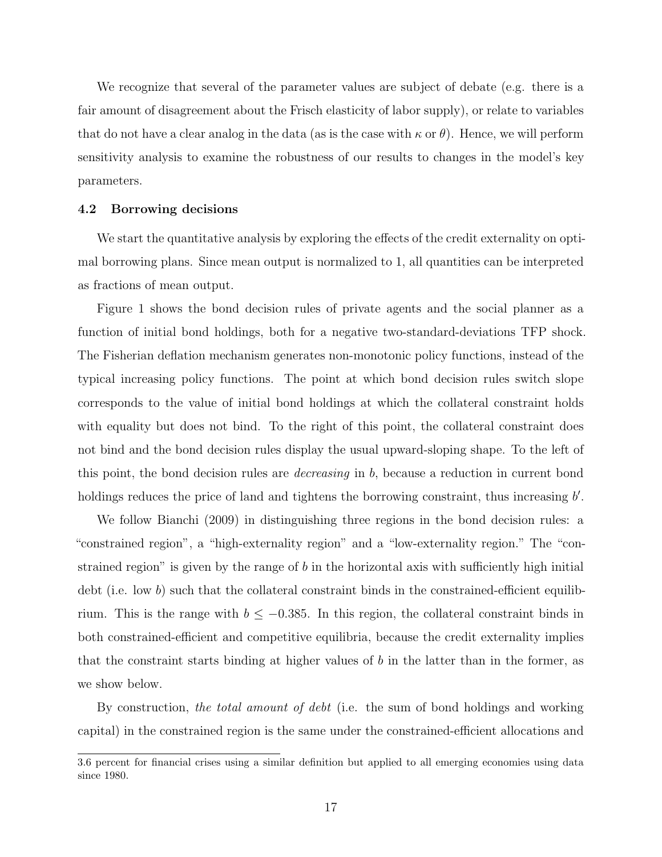We recognize that several of the parameter values are subject of debate (e.g. there is a fair amount of disagreement about the Frisch elasticity of labor supply), or relate to variables that do not have a clear analog in the data (as is the case with  $\kappa$  or  $\theta$ ). Hence, we will perform sensitivity analysis to examine the robustness of our results to changes in the model's key parameters.

#### **4.2 Borrowing decisions**

We start the quantitative analysis by exploring the effects of the credit externality on optimal borrowing plans. Since mean output is normalized to 1, all quantities can be interpreted as fractions of mean output.

Figure 1 shows the bond decision rules of private agents and the social planner as a function of initial bond holdings, both for a negative two-standard-deviations TFP shock. The Fisherian deflation mechanism generates non-monotonic policy functions, instead of the typical increasing policy functions. The point at which bond decision rules switch slope corresponds to the value of initial bond holdings at which the collateral constraint holds with equality but does not bind. To the right of this point, the collateral constraint does not bind and the bond decision rules display the usual upward-sloping shape. To the left of this point, the bond decision rules are *decreasing* in *b*, because a reduction in current bond holdings reduces the price of land and tightens the borrowing constraint, thus increasing  $b'$ .

We follow Bianchi (2009) in distinguishing three regions in the bond decision rules: a "constrained region", a "high-externality region" and a "low-externality region." The "constrained region" is given by the range of *b* in the horizontal axis with sufficiently high initial debt (i.e. low b) such that the collateral constraint binds in the constrained-efficient equilibrium. This is the range with *b ≤ −*0*.*385. In this region, the collateral constraint binds in both constrained-efficient and competitive equilibria, because the credit externality implies that the constraint starts binding at higher values of *b* in the latter than in the former, as we show below.

By construction, *the total amount of debt* (i.e. the sum of bond holdings and working capital) in the constrained region is the same under the constrained-efficient allocations and

<sup>3.6</sup> percent for financial crises using a similar definition but applied to all emerging economies using data since 1980.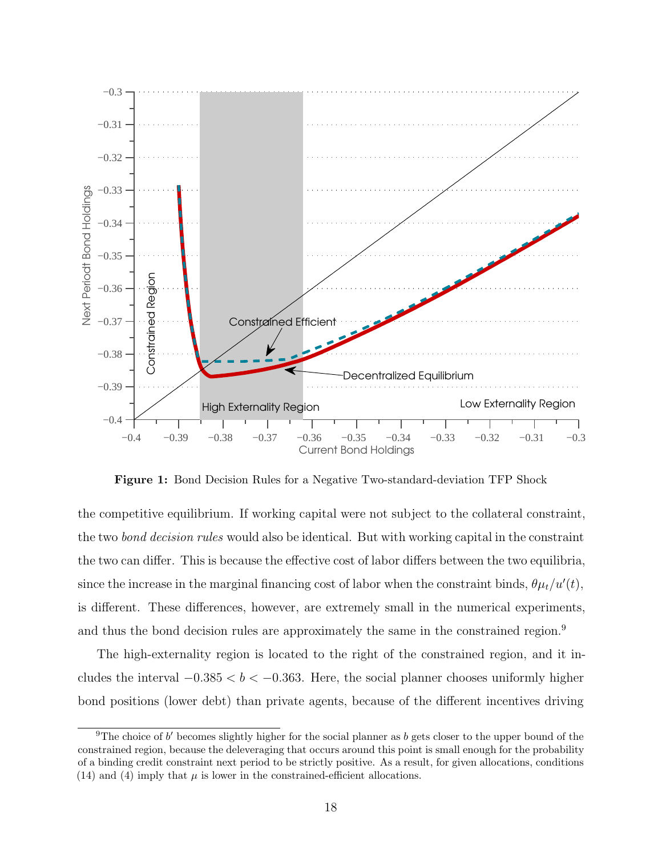

**Figure 1:** Bond Decision Rules for a Negative Two-standard-deviation TFP Shock

the competitive equilibrium. If working capital were not subject to the collateral constraint, the two *bond decision rules* would also be identical. But with working capital in the constraint the two can differ. This is because the effective cost of labor differs between the two equilibria, since the increase in the marginal financing cost of labor when the constraint binds,  $\theta \mu_t / u'(t)$ , is different. These differences, however, are extremely small in the numerical experiments, and thus the bond decision rules are approximately the same in the constrained region.<sup>9</sup>

The high-externality region is located to the right of the constrained region, and it includes the interval *−*0*.*385 *< b < −*0*.*363. Here, the social planner chooses uniformly higher bond positions (lower debt) than private agents, because of the different incentives driving

<sup>&</sup>lt;sup>9</sup>The choice of *b'* becomes slightly higher for the social planner as *b* gets closer to the upper bound of the constrained region, because the deleveraging that occurs around this point is small enough for the probability of a binding credit constraint next period to be strictly positive. As a result, for given allocations, conditions (14) and (4) imply that  $\mu$  is lower in the constrained-efficient allocations.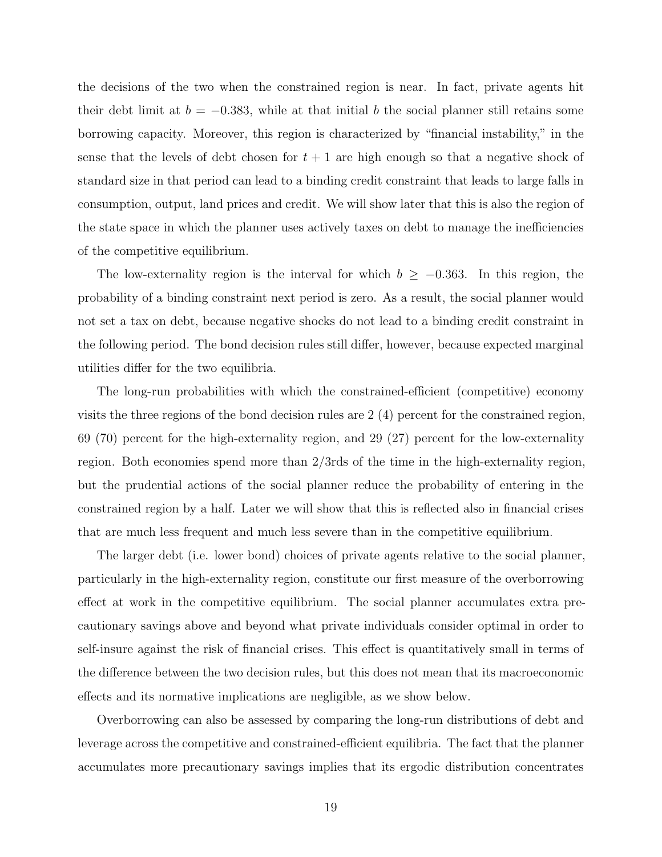the decisions of the two when the constrained region is near. In fact, private agents hit their debt limit at  $b = -0.383$ , while at that initial b the social planner still retains some borrowing capacity. Moreover, this region is characterized by "financial instability," in the sense that the levels of debt chosen for  $t + 1$  are high enough so that a negative shock of standard size in that period can lead to a binding credit constraint that leads to large falls in consumption, output, land prices and credit. We will show later that this is also the region of the state space in which the planner uses actively taxes on debt to manage the inefficiencies of the competitive equilibrium.

The low-externality region is the interval for which  $b \ge -0.363$ . In this region, the probability of a binding constraint next period is zero. As a result, the social planner would not set a tax on debt, because negative shocks do not lead to a binding credit constraint in the following period. The bond decision rules still differ, however, because expected marginal utilities differ for the two equilibria.

The long-run probabilities with which the constrained-efficient (competitive) economy visits the three regions of the bond decision rules are 2 (4) percent for the constrained region, 69 (70) percent for the high-externality region, and 29 (27) percent for the low-externality region. Both economies spend more than 2/3rds of the time in the high-externality region, but the prudential actions of the social planner reduce the probability of entering in the constrained region by a half. Later we will show that this is reflected also in financial crises that are much less frequent and much less severe than in the competitive equilibrium.

The larger debt (i.e. lower bond) choices of private agents relative to the social planner, particularly in the high-externality region, constitute our first measure of the overborrowing effect at work in the competitive equilibrium. The social planner accumulates extra precautionary savings above and beyond what private individuals consider optimal in order to self-insure against the risk of financial crises. This effect is quantitatively small in terms of the difference between the two decision rules, but this does not mean that its macroeconomic effects and its normative implications are negligible, as we show below.

Overborrowing can also be assessed by comparing the long-run distributions of debt and leverage across the competitive and constrained-efficient equilibria. The fact that the planner accumulates more precautionary savings implies that its ergodic distribution concentrates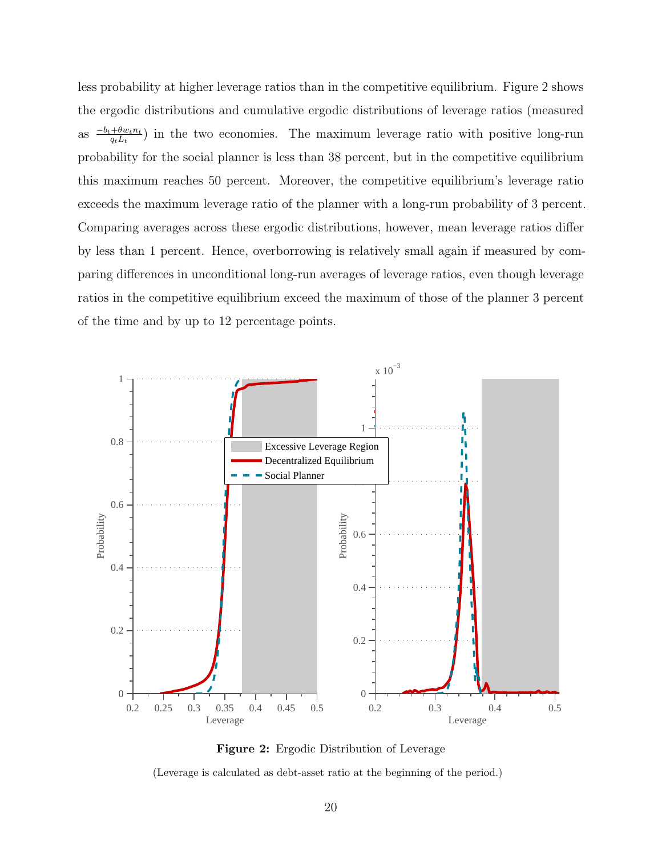less probability at higher leverage ratios than in the competitive equilibrium. Figure 2 shows the ergodic distributions and cumulative ergodic distributions of leverage ratios (measured as *<sup>−</sup>bt*+*θwtn<sup>t</sup> qtLt* ) in the two economies. The maximum leverage ratio with positive long-run probability for the social planner is less than 38 percent, but in the competitive equilibrium this maximum reaches 50 percent. Moreover, the competitive equilibrium's leverage ratio exceeds the maximum leverage ratio of the planner with a long-run probability of 3 percent. Comparing averages across these ergodic distributions, however, mean leverage ratios differ by less than 1 percent. Hence, overborrowing is relatively small again if measured by comparing differences in unconditional long-run averages of leverage ratios, even though leverage ratios in the competitive equilibrium exceed the maximum of those of the planner 3 percent of the time and by up to 12 percentage points.



**Figure 2:** Ergodic Distribution of Leverage

(Leverage is calculated as debt-asset ratio at the beginning of the period.)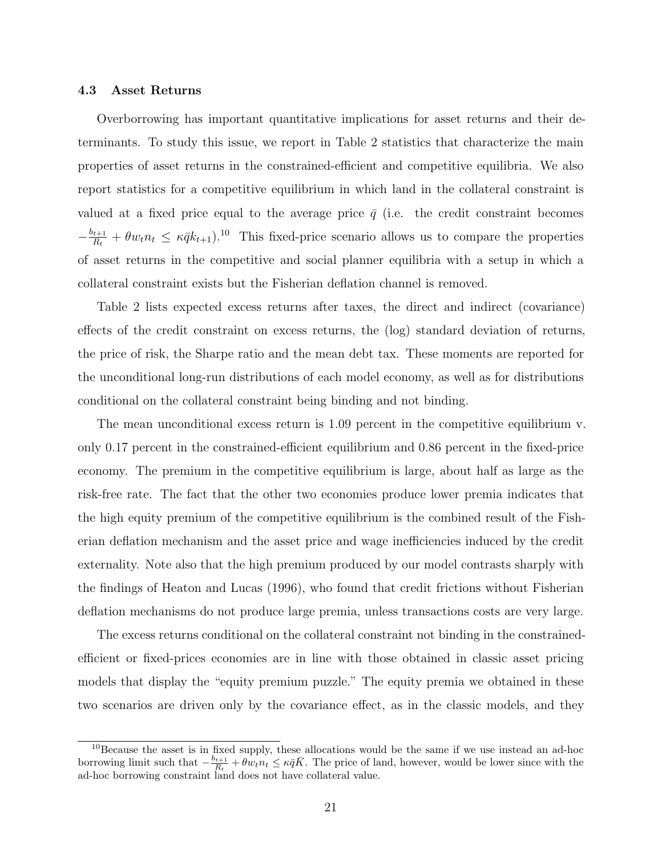#### **4.3 Asset Returns**

Overborrowing has important quantitative implications for asset returns and their determinants. To study this issue, we report in Table 2 statistics that characterize the main properties of asset returns in the constrained-efficient and competitive equilibria. We also report statistics for a competitive equilibrium in which land in the collateral constraint is valued at a fixed price equal to the average price  $\bar{q}$  (i.e. the credit constraint becomes  $-\frac{b_{t+1}}{B}$  $\frac{f_{t+1}}{R_t} + \theta w_t n_t \leq \kappa \bar{q} k_{t+1}$ .<sup>10</sup> This fixed-price scenario allows us to compare the properties of asset returns in the competitive and social planner equilibria with a setup in which a collateral constraint exists but the Fisherian deflation channel is removed.

Table 2 lists expected excess returns after taxes, the direct and indirect (covariance) effects of the credit constraint on excess returns, the (log) standard deviation of returns, the price of risk, the Sharpe ratio and the mean debt tax. These moments are reported for the unconditional long-run distributions of each model economy, as well as for distributions conditional on the collateral constraint being binding and not binding.

The mean unconditional excess return is 1.09 percent in the competitive equilibrium v. only 0.17 percent in the constrained-efficient equilibrium and 0.86 percent in the fixed-price economy. The premium in the competitive equilibrium is large, about half as large as the risk-free rate. The fact that the other two economies produce lower premia indicates that the high equity premium of the competitive equilibrium is the combined result of the Fisherian deflation mechanism and the asset price and wage inefficiencies induced by the credit externality. Note also that the high premium produced by our model contrasts sharply with the findings of Heaton and Lucas (1996), who found that credit frictions without Fisherian deflation mechanisms do not produce large premia, unless transactions costs are very large.

The excess returns conditional on the collateral constraint not binding in the constrainedefficient or fixed-prices economies are in line with those obtained in classic asset pricing models that display the "equity premium puzzle." The equity premia we obtained in these two scenarios are driven only by the covariance effect, as in the classic models, and they

<sup>&</sup>lt;sup>10</sup>Because the asset is in fixed supply, these allocations would be the same if we use instead an ad-hoc borrowing limit such that  $-\frac{b_{t+1}}{R}$  $\frac{H_t+1}{R_t} + \theta w_t n_t \leq \kappa \bar{q} \bar{K}$ . The price of land, however, would be lower since with the ad-hoc borrowing constraint land does not have collateral value.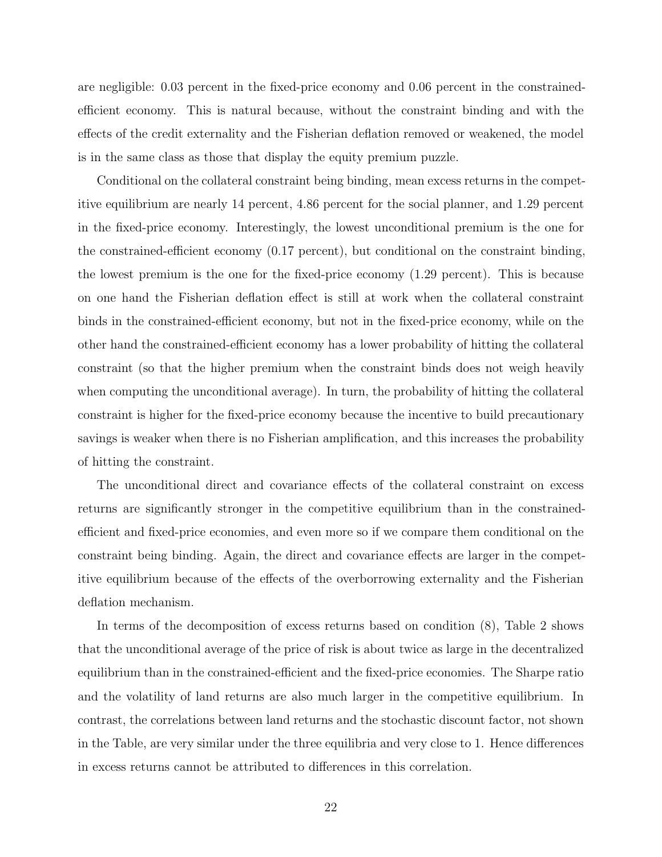are negligible: 0.03 percent in the fixed-price economy and 0.06 percent in the constrainedefficient economy. This is natural because, without the constraint binding and with the effects of the credit externality and the Fisherian deflation removed or weakened, the model is in the same class as those that display the equity premium puzzle.

Conditional on the collateral constraint being binding, mean excess returns in the competitive equilibrium are nearly 14 percent, 4.86 percent for the social planner, and 1.29 percent in the fixed-price economy. Interestingly, the lowest unconditional premium is the one for the constrained-efficient economy (0.17 percent), but conditional on the constraint binding, the lowest premium is the one for the fixed-price economy (1.29 percent). This is because on one hand the Fisherian deflation effect is still at work when the collateral constraint binds in the constrained-efficient economy, but not in the fixed-price economy, while on the other hand the constrained-efficient economy has a lower probability of hitting the collateral constraint (so that the higher premium when the constraint binds does not weigh heavily when computing the unconditional average). In turn, the probability of hitting the collateral constraint is higher for the fixed-price economy because the incentive to build precautionary savings is weaker when there is no Fisherian amplification, and this increases the probability of hitting the constraint.

The unconditional direct and covariance effects of the collateral constraint on excess returns are significantly stronger in the competitive equilibrium than in the constrainedefficient and fixed-price economies, and even more so if we compare them conditional on the constraint being binding. Again, the direct and covariance effects are larger in the competitive equilibrium because of the effects of the overborrowing externality and the Fisherian deflation mechanism.

In terms of the decomposition of excess returns based on condition (8), Table 2 shows that the unconditional average of the price of risk is about twice as large in the decentralized equilibrium than in the constrained-efficient and the fixed-price economies. The Sharpe ratio and the volatility of land returns are also much larger in the competitive equilibrium. In contrast, the correlations between land returns and the stochastic discount factor, not shown in the Table, are very similar under the three equilibria and very close to 1. Hence differences in excess returns cannot be attributed to differences in this correlation.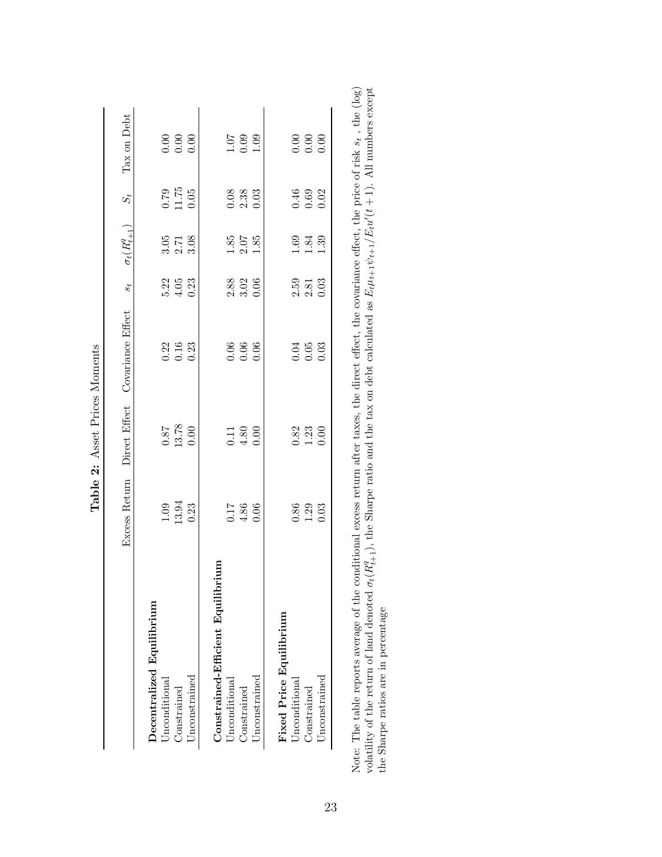|                                        | Excess Return                                       | Direct Effect                                        | Covariance Effect                                   | $\boldsymbol{s}_t$                                  | $\sigma_t(R^q_{t+1})$      | $S_t$                                               | Tax on Debt                                         |
|----------------------------------------|-----------------------------------------------------|------------------------------------------------------|-----------------------------------------------------|-----------------------------------------------------|----------------------------|-----------------------------------------------------|-----------------------------------------------------|
| Decentralized Equilibrium              |                                                     |                                                      |                                                     |                                                     |                            |                                                     |                                                     |
| Unconditional                          |                                                     |                                                      |                                                     |                                                     |                            |                                                     |                                                     |
| Constrained                            | $\frac{1.09}{13.94}$                                | $\begin{array}{c} 0.87 \\ 13.78 \\ 0.00 \end{array}$ | $\begin{array}{c} 0.22 \\ 0.16 \\ 0.23 \end{array}$ | 5.22<br>4.05<br>0.23                                | 5.78<br>3.78               | $\frac{0.79}{11.75}$                                | $\begin{array}{c} 0.00 \\ 0.00 \\ 0.00 \end{array}$ |
| Unconstrained                          |                                                     |                                                      |                                                     |                                                     |                            |                                                     |                                                     |
| mu<br>Constrained-Efficient Equilibrin |                                                     |                                                      |                                                     |                                                     |                            |                                                     |                                                     |
| Unconditional                          |                                                     |                                                      |                                                     |                                                     |                            |                                                     |                                                     |
| Constrained                            | $0.17$<br>$4.86$<br>$0.06$                          | $\begin{array}{c} 0.11 \\ 4.80 \\ 0.00 \end{array}$  | $0.06$<br>$0.06$<br>$0.06$                          | $2.88$<br>$3.02$<br>$0.06$                          | $1.85$<br>$2.07$<br>$1.85$ | $\begin{array}{c} 0.88 \\ 2.33 \\ 0.03 \end{array}$ | $\begin{array}{c} 1.07 \\ 0.09 \\ 1.09 \end{array}$ |
| Unconstrained                          |                                                     |                                                      |                                                     |                                                     |                            |                                                     |                                                     |
| Fixed Price Equilibrium                |                                                     |                                                      |                                                     |                                                     |                            |                                                     |                                                     |
| Unconditional                          |                                                     |                                                      |                                                     |                                                     |                            |                                                     |                                                     |
| Constrained                            | $\begin{array}{c} 0.86 \\ 1.29 \\ 0.03 \end{array}$ | $\begin{array}{c} 0.82 \\ 1.23 \\ 0.00 \end{array}$  | $0.05$<br>$0.03$                                    | $\begin{array}{c} 2.59 \\ 2.81 \\ 0.03 \end{array}$ | $1.39$<br>$1.39$           | $0.69$<br>$0.62$                                    | $\begin{array}{c} 0.00 \\ 0.00 \\ 0.00 \end{array}$ |
| <b>Jnconstrained</b>                   |                                                     |                                                      |                                                     |                                                     |                            |                                                     |                                                     |

| - 22                        |
|-----------------------------|
| טעט<br>ב<br><b>SCIEN</b>    |
| <b>GO2</b><br>$\frac{1}{2}$ |
| j<br>Ć                      |
| $\mathbf{a}$                |

Note: The table reports average of the conditional excess return after taxes, the direct effect, the covariance effect, the price of risk  $s_t$ , the (log) volatility of the return of land denoted  $\sigma_t(R_{t+1}^q)$ , the Sharpe Note: The table reports average of the conditional excess return after taxes, the direct effect, the covariance effect, the price of risk *st* , the (log) volatility of the return of land denoted  $\sigma_t(R_{t+1}^q)$ , the Sharpe ratio and the tax on debt calculated as  $E_t\mu_{t+1}\psi_{t+1}/E_t u'(t+1)$ . All numbers except the Sharpe ratios are in percentage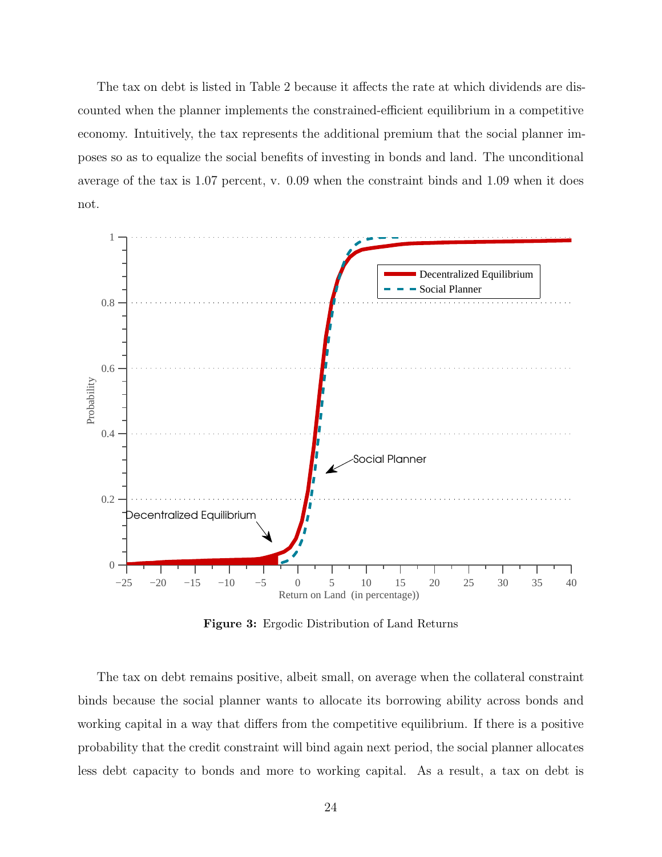The tax on debt is listed in Table 2 because it affects the rate at which dividends are discounted when the planner implements the constrained-efficient equilibrium in a competitive economy. Intuitively, the tax represents the additional premium that the social planner imposes so as to equalize the social benefits of investing in bonds and land. The unconditional average of the tax is 1.07 percent, v. 0.09 when the constraint binds and 1.09 when it does not.



**Figure 3:** Ergodic Distribution of Land Returns

The tax on debt remains positive, albeit small, on average when the collateral constraint binds because the social planner wants to allocate its borrowing ability across bonds and working capital in a way that differs from the competitive equilibrium. If there is a positive probability that the credit constraint will bind again next period, the social planner allocates less debt capacity to bonds and more to working capital. As a result, a tax on debt is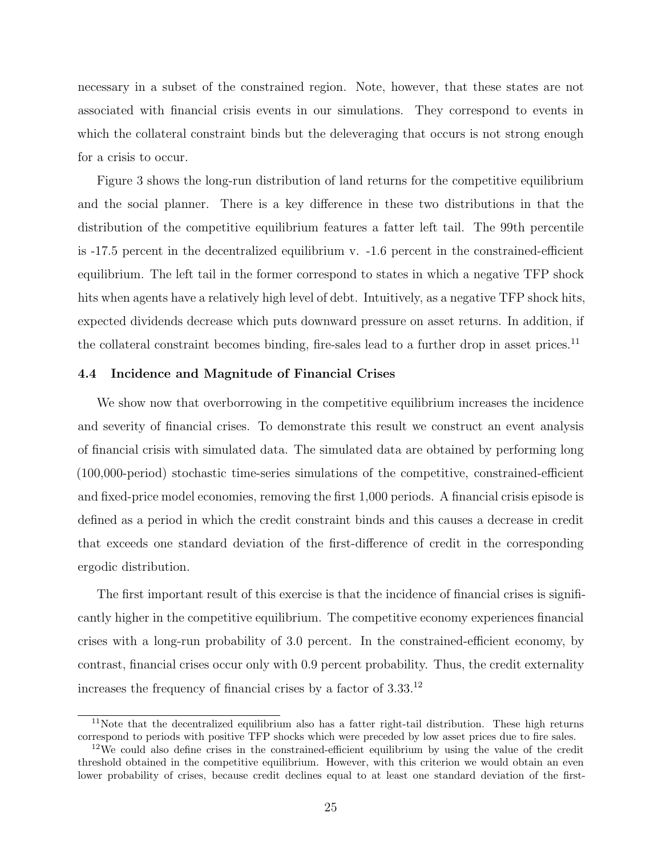necessary in a subset of the constrained region. Note, however, that these states are not associated with financial crisis events in our simulations. They correspond to events in which the collateral constraint binds but the deleveraging that occurs is not strong enough for a crisis to occur.

Figure 3 shows the long-run distribution of land returns for the competitive equilibrium and the social planner. There is a key difference in these two distributions in that the distribution of the competitive equilibrium features a fatter left tail. The 99th percentile is -17.5 percent in the decentralized equilibrium v. -1.6 percent in the constrained-efficient equilibrium. The left tail in the former correspond to states in which a negative TFP shock hits when agents have a relatively high level of debt. Intuitively, as a negative TFP shock hits, expected dividends decrease which puts downward pressure on asset returns. In addition, if the collateral constraint becomes binding, fire-sales lead to a further drop in asset prices.<sup>11</sup>

#### **4.4 Incidence and Magnitude of Financial Crises**

We show now that overborrowing in the competitive equilibrium increases the incidence and severity of financial crises. To demonstrate this result we construct an event analysis of financial crisis with simulated data. The simulated data are obtained by performing long (100,000-period) stochastic time-series simulations of the competitive, constrained-efficient and fixed-price model economies, removing the first 1,000 periods. A financial crisis episode is defined as a period in which the credit constraint binds and this causes a decrease in credit that exceeds one standard deviation of the first-difference of credit in the corresponding ergodic distribution.

The first important result of this exercise is that the incidence of financial crises is significantly higher in the competitive equilibrium. The competitive economy experiences financial crises with a long-run probability of 3.0 percent. In the constrained-efficient economy, by contrast, financial crises occur only with 0.9 percent probability. Thus, the credit externality increases the frequency of financial crises by a factor of  $3.33^{12}$ 

<sup>11</sup>Note that the decentralized equilibrium also has a fatter right-tail distribution. These high returns correspond to periods with positive TFP shocks which were preceded by low asset prices due to fire sales.

 $12\text{We could also define crises in the constrained-efficient equilibrium by using the value of the credit.}$ threshold obtained in the competitive equilibrium. However, with this criterion we would obtain an even lower probability of crises, because credit declines equal to at least one standard deviation of the first-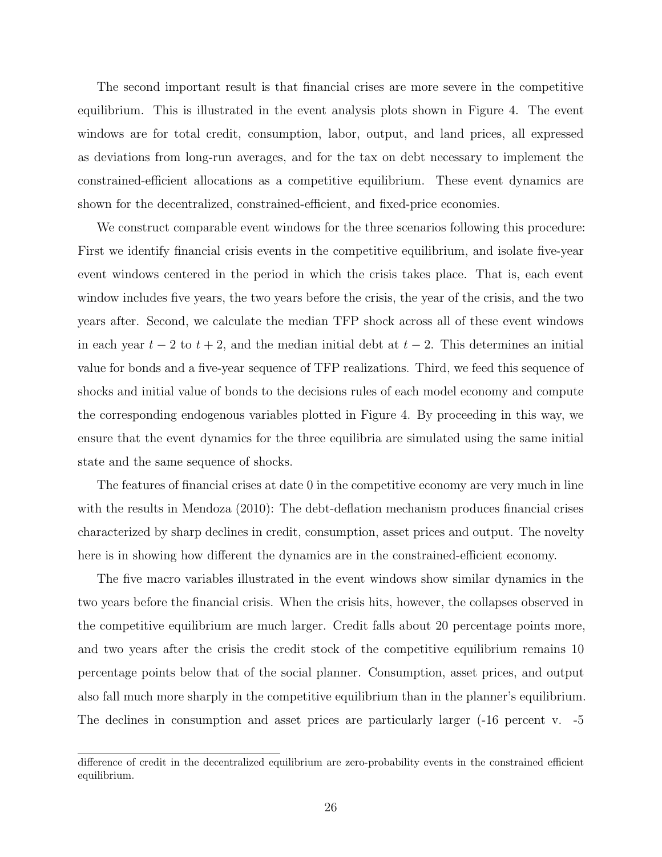The second important result is that financial crises are more severe in the competitive equilibrium. This is illustrated in the event analysis plots shown in Figure 4. The event windows are for total credit, consumption, labor, output, and land prices, all expressed as deviations from long-run averages, and for the tax on debt necessary to implement the constrained-efficient allocations as a competitive equilibrium. These event dynamics are shown for the decentralized, constrained-efficient, and fixed-price economies.

We construct comparable event windows for the three scenarios following this procedure: First we identify financial crisis events in the competitive equilibrium, and isolate five-year event windows centered in the period in which the crisis takes place. That is, each event window includes five years, the two years before the crisis, the year of the crisis, and the two years after. Second, we calculate the median TFP shock across all of these event windows in each year  $t - 2$  to  $t + 2$ , and the median initial debt at  $t - 2$ . This determines an initial value for bonds and a five-year sequence of TFP realizations. Third, we feed this sequence of shocks and initial value of bonds to the decisions rules of each model economy and compute the corresponding endogenous variables plotted in Figure 4. By proceeding in this way, we ensure that the event dynamics for the three equilibria are simulated using the same initial state and the same sequence of shocks.

The features of financial crises at date 0 in the competitive economy are very much in line with the results in Mendoza (2010): The debt-deflation mechanism produces financial crises characterized by sharp declines in credit, consumption, asset prices and output. The novelty here is in showing how different the dynamics are in the constrained-efficient economy.

The five macro variables illustrated in the event windows show similar dynamics in the two years before the financial crisis. When the crisis hits, however, the collapses observed in the competitive equilibrium are much larger. Credit falls about 20 percentage points more, and two years after the crisis the credit stock of the competitive equilibrium remains 10 percentage points below that of the social planner. Consumption, asset prices, and output also fall much more sharply in the competitive equilibrium than in the planner's equilibrium. The declines in consumption and asset prices are particularly larger (-16 percent v. -5

difference of credit in the decentralized equilibrium are zero-probability events in the constrained efficient equilibrium.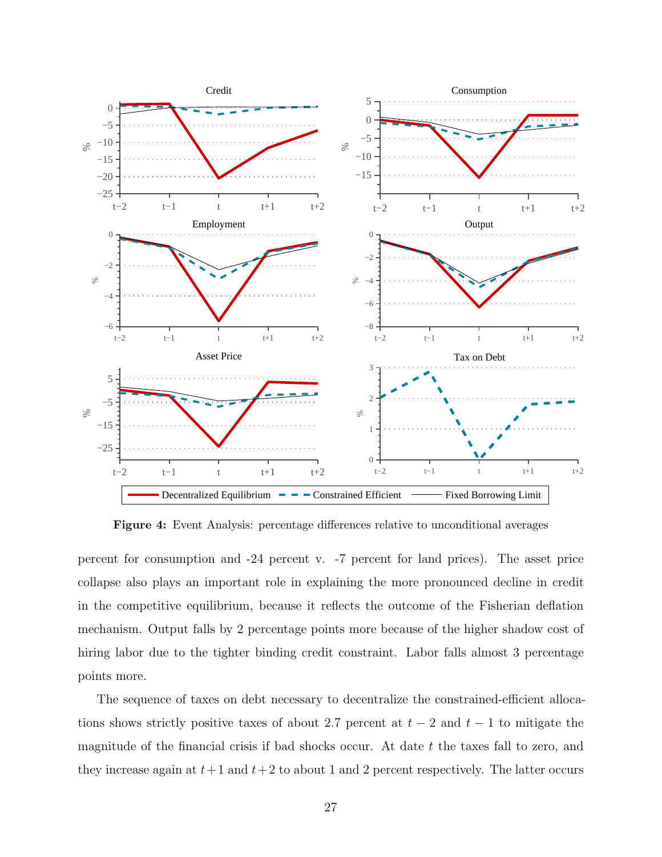

**Figure 4:** Event Analysis: percentage differences relative to unconditional averages

percent for consumption and -24 percent v. -7 percent for land prices). The asset price collapse also plays an important role in explaining the more pronounced decline in credit in the competitive equilibrium, because it reflects the outcome of the Fisherian deflation mechanism. Output falls by 2 percentage points more because of the higher shadow cost of hiring labor due to the tighter binding credit constraint. Labor falls almost 3 percentage points more.

The sequence of taxes on debt necessary to decentralize the constrained-efficient allocations shows strictly positive taxes of about 2.7 percent at  $t-2$  and  $t-1$  to mitigate the magnitude of the financial crisis if bad shocks occur. At date *t* the taxes fall to zero, and they increase again at  $t+1$  and  $t+2$  to about 1 and 2 percent respectively. The latter occurs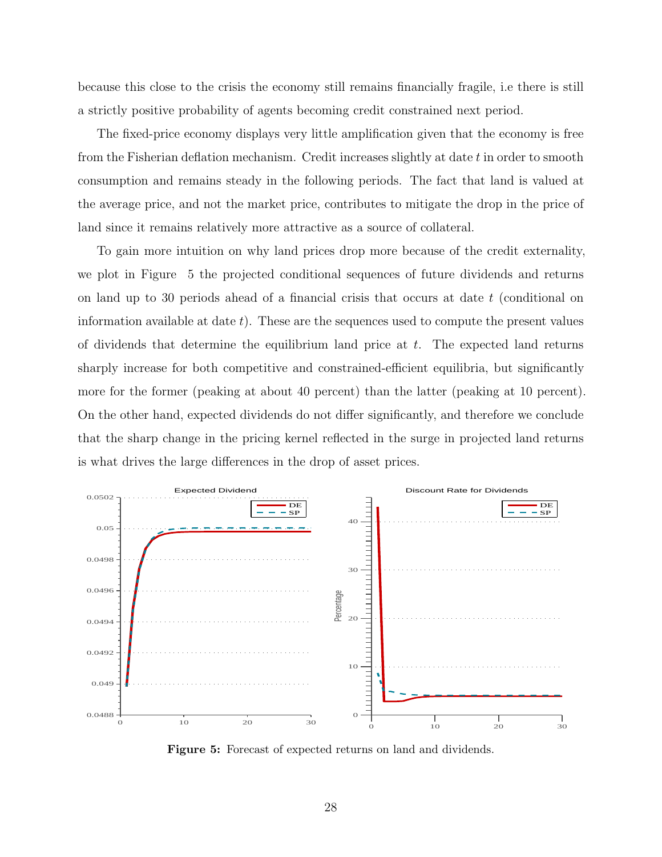because this close to the crisis the economy still remains financially fragile, i.e there is still a strictly positive probability of agents becoming credit constrained next period.

The fixed-price economy displays very little amplification given that the economy is free from the Fisherian deflation mechanism. Credit increases slightly at date *t* in order to smooth consumption and remains steady in the following periods. The fact that land is valued at the average price, and not the market price, contributes to mitigate the drop in the price of land since it remains relatively more attractive as a source of collateral.

To gain more intuition on why land prices drop more because of the credit externality, we plot in Figure 5 the projected conditional sequences of future dividends and returns on land up to 30 periods ahead of a financial crisis that occurs at date *t* (conditional on information available at date *t*). These are the sequences used to compute the present values of dividends that determine the equilibrium land price at *t*. The expected land returns sharply increase for both competitive and constrained-efficient equilibria, but significantly more for the former (peaking at about 40 percent) than the latter (peaking at 10 percent). On the other hand, expected dividends do not differ significantly, and therefore we conclude that the sharp change in the pricing kernel reflected in the surge in projected land returns is what drives the large differences in the drop of asset prices.



**Figure 5:** Forecast of expected returns on land and dividends.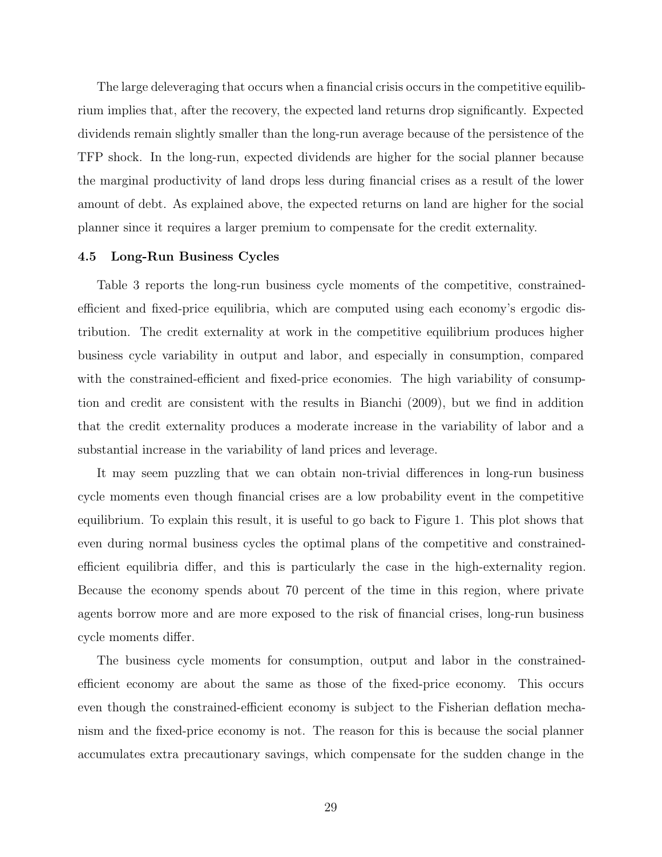The large deleveraging that occurs when a financial crisis occurs in the competitive equilibrium implies that, after the recovery, the expected land returns drop significantly. Expected dividends remain slightly smaller than the long-run average because of the persistence of the TFP shock. In the long-run, expected dividends are higher for the social planner because the marginal productivity of land drops less during financial crises as a result of the lower amount of debt. As explained above, the expected returns on land are higher for the social planner since it requires a larger premium to compensate for the credit externality.

#### **4.5 Long-Run Business Cycles**

Table 3 reports the long-run business cycle moments of the competitive, constrainedefficient and fixed-price equilibria, which are computed using each economy's ergodic distribution. The credit externality at work in the competitive equilibrium produces higher business cycle variability in output and labor, and especially in consumption, compared with the constrained-efficient and fixed-price economies. The high variability of consumption and credit are consistent with the results in Bianchi (2009), but we find in addition that the credit externality produces a moderate increase in the variability of labor and a substantial increase in the variability of land prices and leverage.

It may seem puzzling that we can obtain non-trivial differences in long-run business cycle moments even though financial crises are a low probability event in the competitive equilibrium. To explain this result, it is useful to go back to Figure 1. This plot shows that even during normal business cycles the optimal plans of the competitive and constrainedefficient equilibria differ, and this is particularly the case in the high-externality region. Because the economy spends about 70 percent of the time in this region, where private agents borrow more and are more exposed to the risk of financial crises, long-run business cycle moments differ.

The business cycle moments for consumption, output and labor in the constrainedefficient economy are about the same as those of the fixed-price economy. This occurs even though the constrained-efficient economy is subject to the Fisherian deflation mechanism and the fixed-price economy is not. The reason for this is because the social planner accumulates extra precautionary savings, which compensate for the sudden change in the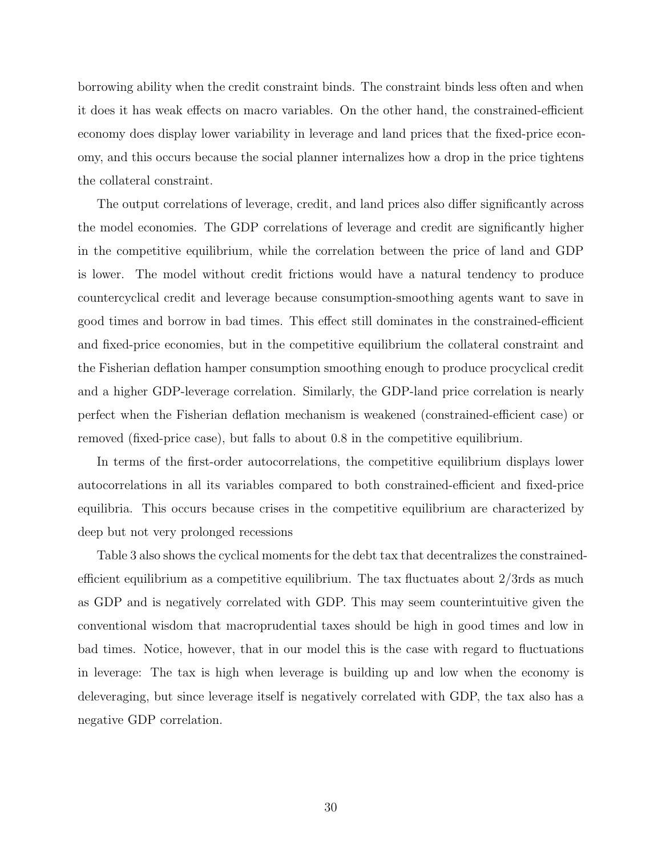borrowing ability when the credit constraint binds. The constraint binds less often and when it does it has weak effects on macro variables. On the other hand, the constrained-efficient economy does display lower variability in leverage and land prices that the fixed-price economy, and this occurs because the social planner internalizes how a drop in the price tightens the collateral constraint.

The output correlations of leverage, credit, and land prices also differ significantly across the model economies. The GDP correlations of leverage and credit are significantly higher in the competitive equilibrium, while the correlation between the price of land and GDP is lower. The model without credit frictions would have a natural tendency to produce countercyclical credit and leverage because consumption-smoothing agents want to save in good times and borrow in bad times. This effect still dominates in the constrained-efficient and fixed-price economies, but in the competitive equilibrium the collateral constraint and the Fisherian deflation hamper consumption smoothing enough to produce procyclical credit and a higher GDP-leverage correlation. Similarly, the GDP-land price correlation is nearly perfect when the Fisherian deflation mechanism is weakened (constrained-efficient case) or removed (fixed-price case), but falls to about 0.8 in the competitive equilibrium.

In terms of the first-order autocorrelations, the competitive equilibrium displays lower autocorrelations in all its variables compared to both constrained-efficient and fixed-price equilibria. This occurs because crises in the competitive equilibrium are characterized by deep but not very prolonged recessions

Table 3 also shows the cyclical moments for the debt tax that decentralizes the constrainedefficient equilibrium as a competitive equilibrium. The tax fluctuates about 2/3rds as much as GDP and is negatively correlated with GDP. This may seem counterintuitive given the conventional wisdom that macroprudential taxes should be high in good times and low in bad times. Notice, however, that in our model this is the case with regard to fluctuations in leverage: The tax is high when leverage is building up and low when the economy is deleveraging, but since leverage itself is negatively correlated with GDP, the tax also has a negative GDP correlation.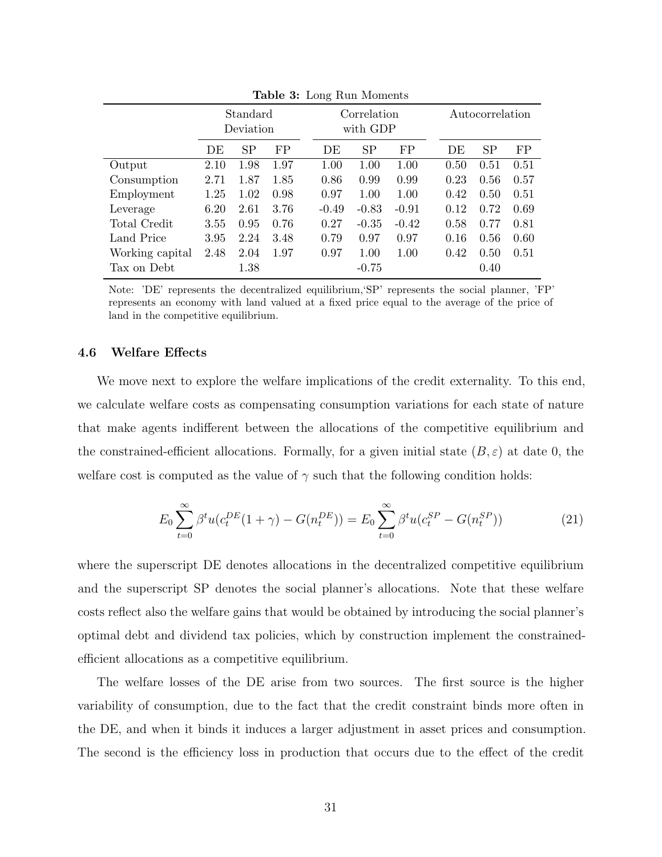|                 |      | Standard<br>Deviation |      |         | Correlation<br>with GDP |         |  |      | Autocorrelation |      |
|-----------------|------|-----------------------|------|---------|-------------------------|---------|--|------|-----------------|------|
|                 | DE   | SP                    | FP   | DE      | <b>SP</b>               | FP      |  | DE   | <b>SP</b>       | FP   |
| Output          | 2.10 | 1.98                  | 1.97 | 1.00    | 1.00<br>1.00            |         |  |      | 0.51            | 0.51 |
| Consumption     | 2.71 | 1.87                  | 1.85 | 0.86    | 0.99<br>0.99            |         |  |      | 0.56            | 0.57 |
| Employment      | 1.25 | 1.02                  | 0.98 | 0.97    | 1.00                    | 1.00    |  | 0.42 | 0.50            | 0.51 |
| Leverage        | 6.20 | 2.61                  | 3.76 | $-0.49$ | $-0.83$                 | $-0.91$ |  | 0.12 | 0.72            | 0.69 |
| Total Credit    | 3.55 | 0.95                  | 0.76 | 0.27    | $-0.35$                 | $-0.42$ |  | 0.58 | 0.77            | 0.81 |
| Land Price      | 3.95 | 2.24                  | 3.48 | 0.79    | 0.97                    | 0.97    |  | 0.16 | 0.56            | 0.60 |
| Working capital | 2.48 | 2.04                  | 1.97 | 0.97    | 1.00                    | 1.00    |  | 0.42 | 0.50            | 0.51 |
| Tax on Debt     |      | 1.38                  |      |         | $-0.75$                 |         |  |      | 0.40            |      |

**Table 3:** Long Run Moments

Note: 'DE' represents the decentralized equilibrium,'SP' represents the social planner, 'FP' represents an economy with land valued at a fixed price equal to the average of the price of land in the competitive equilibrium.

## **4.6 Welfare Effects**

We move next to explore the welfare implications of the credit externality. To this end, we calculate welfare costs as compensating consumption variations for each state of nature that make agents indifferent between the allocations of the competitive equilibrium and the constrained-efficient allocations. Formally, for a given initial state  $(B, \varepsilon)$  at date 0, the welfare cost is computed as the value of  $\gamma$  such that the following condition holds:

$$
E_0 \sum_{t=0}^{\infty} \beta^t u(c_t^{DE}(1+\gamma) - G(n_t^{DE})) = E_0 \sum_{t=0}^{\infty} \beta^t u(c_t^{SP} - G(n_t^{SP}))
$$
\n(21)

where the superscript DE denotes allocations in the decentralized competitive equilibrium and the superscript SP denotes the social planner's allocations. Note that these welfare costs reflect also the welfare gains that would be obtained by introducing the social planner's optimal debt and dividend tax policies, which by construction implement the constrainedefficient allocations as a competitive equilibrium.

The welfare losses of the DE arise from two sources. The first source is the higher variability of consumption, due to the fact that the credit constraint binds more often in the DE, and when it binds it induces a larger adjustment in asset prices and consumption. The second is the efficiency loss in production that occurs due to the effect of the credit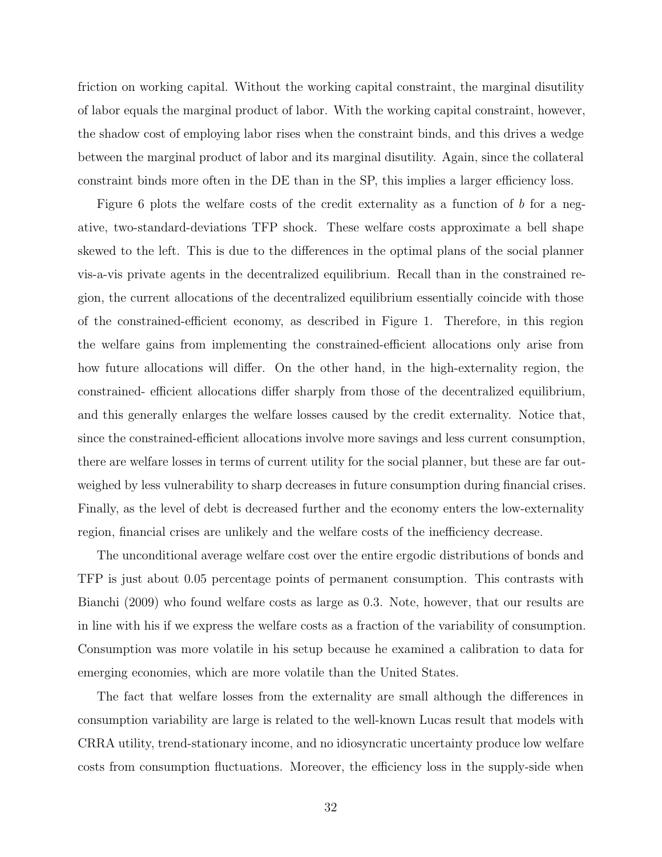friction on working capital. Without the working capital constraint, the marginal disutility of labor equals the marginal product of labor. With the working capital constraint, however, the shadow cost of employing labor rises when the constraint binds, and this drives a wedge between the marginal product of labor and its marginal disutility. Again, since the collateral constraint binds more often in the DE than in the SP, this implies a larger efficiency loss.

Figure 6 plots the welfare costs of the credit externality as a function of *b* for a negative, two-standard-deviations TFP shock. These welfare costs approximate a bell shape skewed to the left. This is due to the differences in the optimal plans of the social planner vis-a-vis private agents in the decentralized equilibrium. Recall than in the constrained region, the current allocations of the decentralized equilibrium essentially coincide with those of the constrained-efficient economy, as described in Figure 1. Therefore, in this region the welfare gains from implementing the constrained-efficient allocations only arise from how future allocations will differ. On the other hand, in the high-externality region, the constrained- efficient allocations differ sharply from those of the decentralized equilibrium, and this generally enlarges the welfare losses caused by the credit externality. Notice that, since the constrained-efficient allocations involve more savings and less current consumption, there are welfare losses in terms of current utility for the social planner, but these are far outweighed by less vulnerability to sharp decreases in future consumption during financial crises. Finally, as the level of debt is decreased further and the economy enters the low-externality region, financial crises are unlikely and the welfare costs of the inefficiency decrease.

The unconditional average welfare cost over the entire ergodic distributions of bonds and TFP is just about 0.05 percentage points of permanent consumption. This contrasts with Bianchi (2009) who found welfare costs as large as 0.3. Note, however, that our results are in line with his if we express the welfare costs as a fraction of the variability of consumption. Consumption was more volatile in his setup because he examined a calibration to data for emerging economies, which are more volatile than the United States.

The fact that welfare losses from the externality are small although the differences in consumption variability are large is related to the well-known Lucas result that models with CRRA utility, trend-stationary income, and no idiosyncratic uncertainty produce low welfare costs from consumption fluctuations. Moreover, the efficiency loss in the supply-side when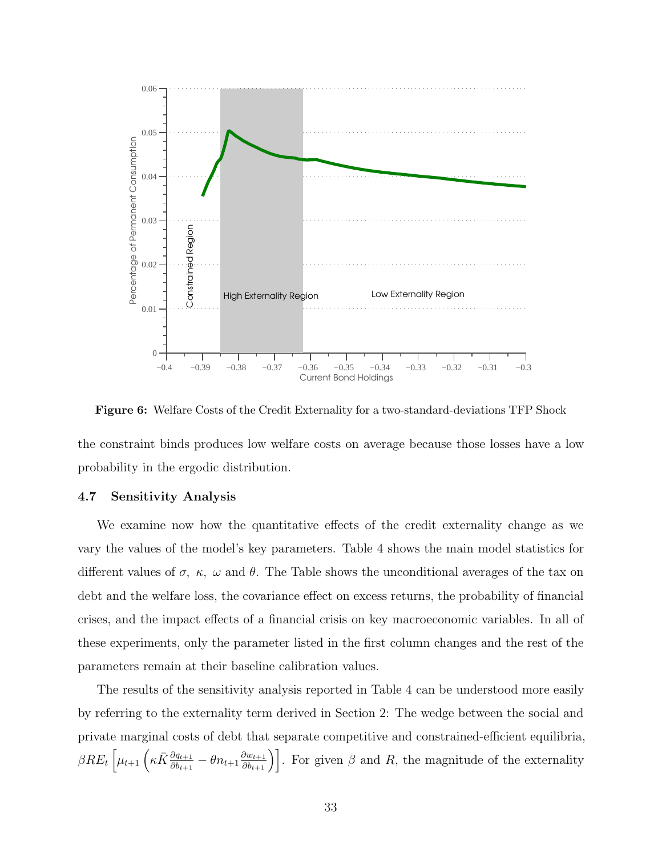

**Figure 6:** Welfare Costs of the Credit Externality for a two-standard-deviations TFP Shock

the constraint binds produces low welfare costs on average because those losses have a low probability in the ergodic distribution.

### **4.7 Sensitivity Analysis**

We examine now how the quantitative effects of the credit externality change as we vary the values of the model's key parameters. Table 4 shows the main model statistics for different values of  $\sigma$ ,  $\kappa$ ,  $\omega$  and  $\theta$ . The Table shows the unconditional averages of the tax on debt and the welfare loss, the covariance effect on excess returns, the probability of financial crises, and the impact effects of a financial crisis on key macroeconomic variables. In all of these experiments, only the parameter listed in the first column changes and the rest of the parameters remain at their baseline calibration values.

The results of the sensitivity analysis reported in Table 4 can be understood more easily by referring to the externality term derived in Section 2: The wedge between the social and private marginal costs of debt that separate competitive and constrained-efficient equilibria,  $\beta RE_t\left[\mu_{t+1}\left(\kappa \bar{K} \frac{\partial q_{t+1}}{\partial b_{t+1}} - \theta n_{t+1} \frac{\partial w_{t+1}}{\partial b_{t+1}}\right)\right]$ . For given  $\beta$  and  $R$ , the magnitude of the externality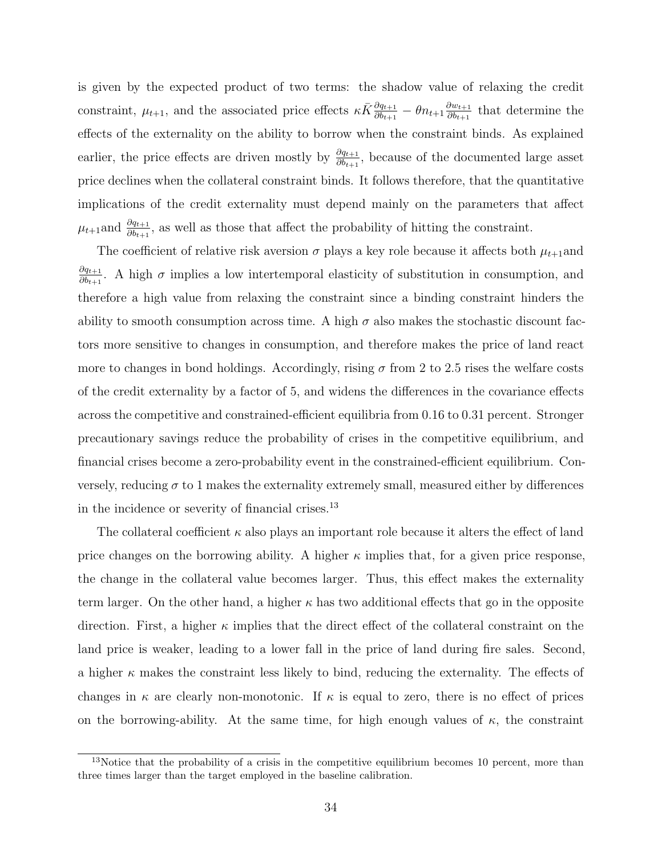is given by the expected product of two terms: the shadow value of relaxing the credit constraint,  $\mu_{t+1}$ , and the associated price effects  $\kappa \bar{K} \frac{\partial q_{t+1}}{\partial b_{t+1}} - \theta n_{t+1} \frac{\partial w_{t+1}}{\partial b_{t+1}}$  $\frac{\partial w_{t+1}}{\partial b_{t+1}}$  that determine the effects of the externality on the ability to borrow when the constraint binds*.* As explained earlier, the price effects are driven mostly by  $\frac{\partial q_{t+1}}{\partial b_{t+1}}$ , because of the documented large asset price declines when the collateral constraint binds. It follows therefore, that the quantitative implications of the credit externality must depend mainly on the parameters that affect  $\mu_{t+1}$ and  $\frac{\partial q_{t+1}}{\partial b_{t+1}}$ , as well as those that affect the probability of hitting the constraint.

The coefficient of relative risk aversion  $\sigma$  plays a key role because it affects both  $\mu_{t+1}$ and *∂qt*+1  $\frac{\partial q_{t+1}}{\partial b_{t+1}}$ . A high *σ* implies a low intertemporal elasticity of substitution in consumption, and therefore a high value from relaxing the constraint since a binding constraint hinders the ability to smooth consumption across time. A high  $\sigma$  also makes the stochastic discount factors more sensitive to changes in consumption, and therefore makes the price of land react more to changes in bond holdings. Accordingly, rising  $\sigma$  from 2 to 2.5 rises the welfare costs of the credit externality by a factor of 5, and widens the differences in the covariance effects across the competitive and constrained-efficient equilibria from 0.16 to 0.31 percent. Stronger precautionary savings reduce the probability of crises in the competitive equilibrium, and financial crises become a zero-probability event in the constrained-efficient equilibrium. Conversely, reducing  $\sigma$  to 1 makes the externality extremely small, measured either by differences in the incidence or severity of financial crises.  $^{\rm 13}$ 

The collateral coefficient  $\kappa$  also plays an important role because it alters the effect of land price changes on the borrowing ability. A higher  $\kappa$  implies that, for a given price response, the change in the collateral value becomes larger. Thus, this effect makes the externality term larger. On the other hand, a higher  $\kappa$  has two additional effects that go in the opposite direction. First, a higher  $\kappa$  implies that the direct effect of the collateral constraint on the land price is weaker, leading to a lower fall in the price of land during fire sales. Second, a higher *κ* makes the constraint less likely to bind, reducing the externality. The effects of changes in  $\kappa$  are clearly non-monotonic. If  $\kappa$  is equal to zero, there is no effect of prices on the borrowing-ability. At the same time, for high enough values of  $\kappa$ , the constraint

 $13$ Notice that the probability of a crisis in the competitive equilibrium becomes 10 percent, more than three times larger than the target employed in the baseline calibration.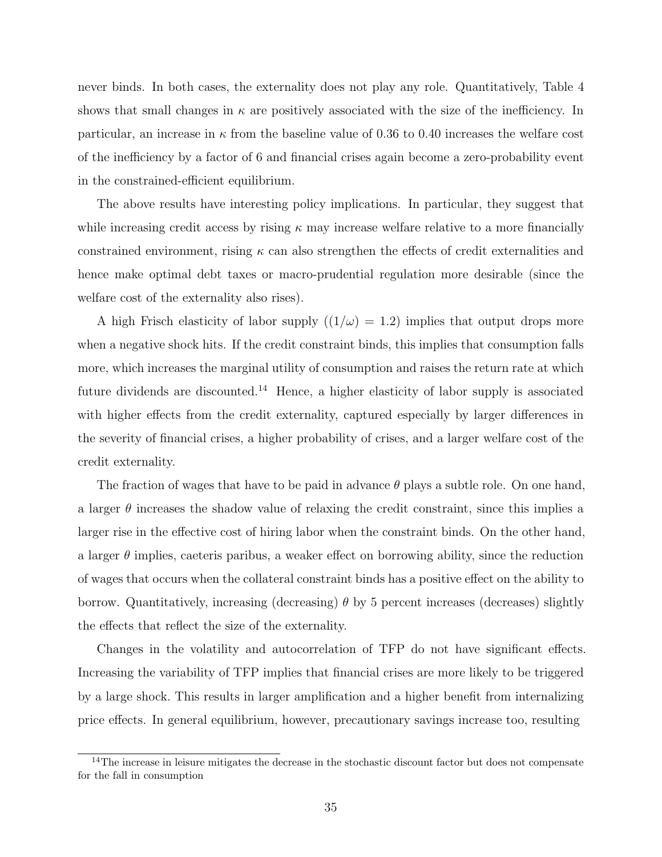never binds. In both cases, the externality does not play any role. Quantitatively, Table 4 shows that small changes in  $\kappa$  are positively associated with the size of the inefficiency. In particular, an increase in *κ* from the baseline value of 0.36 to 0.40 increases the welfare cost of the inefficiency by a factor of 6 and financial crises again become a zero-probability event in the constrained-efficient equilibrium.

The above results have interesting policy implications. In particular, they suggest that while increasing credit access by rising *κ* may increase welfare relative to a more financially constrained environment, rising  $\kappa$  can also strengthen the effects of credit externalities and hence make optimal debt taxes or macro-prudential regulation more desirable (since the welfare cost of the externality also rises).

A high Frisch elasticity of labor supply  $((1/\omega) = 1.2)$  implies that output drops more when a negative shock hits. If the credit constraint binds, this implies that consumption falls more, which increases the marginal utility of consumption and raises the return rate at which future dividends are discounted.<sup>14</sup> Hence, a higher elasticity of labor supply is associated with higher effects from the credit externality, captured especially by larger differences in the severity of financial crises, a higher probability of crises, and a larger welfare cost of the credit externality.

The fraction of wages that have to be paid in advance *θ* plays a subtle role. On one hand, a larger  $\theta$  increases the shadow value of relaxing the credit constraint, since this implies a larger rise in the effective cost of hiring labor when the constraint binds. On the other hand, a larger  $\theta$  implies, caeteris paribus, a weaker effect on borrowing ability, since the reduction of wages that occurs when the collateral constraint binds has a positive effect on the ability to borrow. Quantitatively, increasing (decreasing) *θ* by 5 percent increases (decreases) slightly the effects that reflect the size of the externality.

Changes in the volatility and autocorrelation of TFP do not have significant effects. Increasing the variability of TFP implies that financial crises are more likely to be triggered by a large shock. This results in larger amplification and a higher benefit from internalizing price effects. In general equilibrium, however, precautionary savings increase too, resulting

<sup>&</sup>lt;sup>14</sup>The increase in leisure mitigates the decrease in the stochastic discount factor but does not compensate for the fall in consumption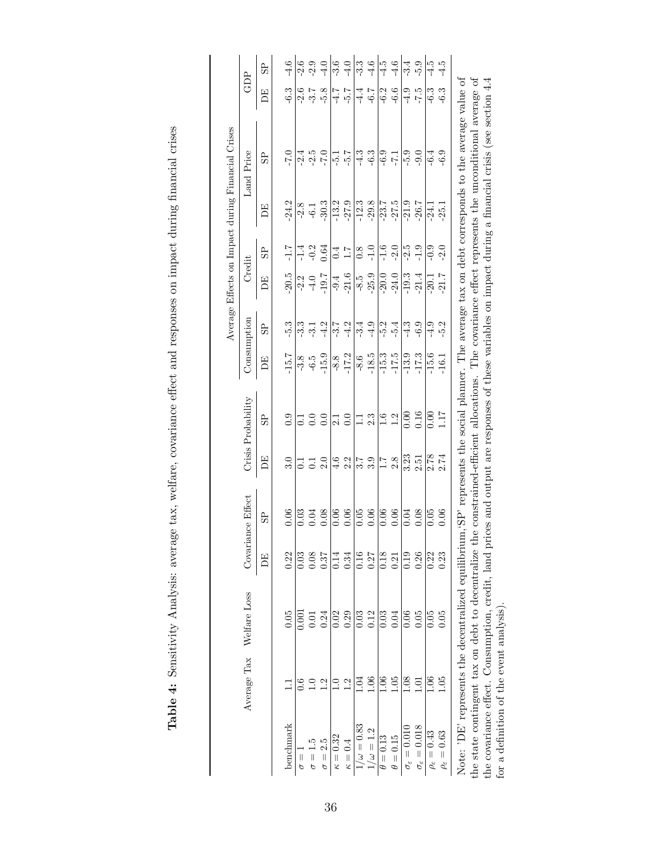|                            | Average Tax      | Welfare Loss                                                                                                                                                                                                | Covaria  | unce Effect                           |                   | Crisis Probability | Consumption        |                      | Credit  |                                                   |                      | Land Price                                                    | GDP                |                                                                                                                  |
|----------------------------|------------------|-------------------------------------------------------------------------------------------------------------------------------------------------------------------------------------------------------------|----------|---------------------------------------|-------------------|--------------------|--------------------|----------------------|---------|---------------------------------------------------|----------------------|---------------------------------------------------------------|--------------------|------------------------------------------------------------------------------------------------------------------|
|                            |                  |                                                                                                                                                                                                             | E        | 95                                    | BE                | 95                 | E                  | $_{\rm{SB}}$         | E       | $\overline{a}$                                    | EQ                   | S <sub>2</sub>                                                | E                  | SP.                                                                                                              |
| benchmark                  |                  | 0.05                                                                                                                                                                                                        | 0.22     | 0.06                                  | 3.0               | 0.9                | $-15.7$            | $-5.3$               | 20.5    | $-1.7$                                            | $-24.2$              | $-7.0$                                                        | $-6.3$             | $-4.6$                                                                                                           |
| $\frac{1}{\sigma}$         | 0.6              | 0.00                                                                                                                                                                                                        | 0.03     |                                       | $\overline{c}$    | $\overline{C}$     | $-3.8$             |                      | $-2.2$  |                                                   |                      | $-2.4$                                                        |                    |                                                                                                                  |
| $\frac{1}{\sigma}$         | $\supseteq$      |                                                                                                                                                                                                             | $0.08\,$ | $0.03$<br>0.04                        |                   | 0.0                | $-6.5$             | $3, -12$<br>$7, -12$ | $-4.0$  | -1 - 2<br>- 9 - 3<br>- 1 - 1                      | $-2.8$               | $-2.5$<br>-7.0                                                | 2.58               | $-2.5$<br>$-1.7$<br>$-1.7$                                                                                       |
| $\sigma = 2.5$             | 1.2              | 0.24                                                                                                                                                                                                        | 0.37     | $0.08\,$                              | $\frac{1}{2}$ .0  | 0.0                | $-15.9$            |                      | $-19.7$ |                                                   | $-30.3$              |                                                               |                    |                                                                                                                  |
| $\kappa = 0.32$            | $\overline{1.0}$ | 0.02                                                                                                                                                                                                        | 0.14     | 0.06                                  |                   | 2.1                | $-8.8$             |                      | $-9.4$  |                                                   |                      |                                                               |                    |                                                                                                                  |
| $\kappa=0.4$               | 1.2              | 0.29                                                                                                                                                                                                        | 0.34     | $0.06\,$                              | $\frac{4.6}{2.2}$ | $0.0\,$            | $-17.2$            | $-3.7$<br>$-4.2$     | $-21.6$ | $0.4$<br>1.7                                      | $-13.2$<br>$-27.9$   | $\frac{1}{2}$ $\frac{1}{2}$                                   | $-5.7$             | $-3.0$                                                                                                           |
| $1/\omega = 0.83$          | 1.04             | 0.03                                                                                                                                                                                                        | 0.16     | $\frac{1}{0.05}$                      |                   | $\Xi$              | $\frac{8.6}{ }$    | $\frac{-3.4}{-4.9}$  | $-8.5$  |                                                   | $\frac{12.3}{-29.8}$ | $\frac{3}{11}$                                                | $\frac{-4.7}{+.6}$ |                                                                                                                  |
| $\omega = 1.2$             | 0.1              | 0.12                                                                                                                                                                                                        | 0.27     | $0.06\,$                              | $\frac{1}{3}$ . 3 | 2.3                | $-18.5$            |                      | $-25.9$ | $\overline{\overset{\circ}{\circ}}$ $\frac{5}{1}$ |                      | $-6.3$                                                        |                    | $\begin{vmatrix} \omega & \omega & \omega \\ \omega & \omega & \omega \\ \omega & \omega & \omega \end{vmatrix}$ |
| $\theta = 0.13$            | 0.1              | 0.03                                                                                                                                                                                                        | 0.18     | $\overline{0.06}$                     | $\overline{11}$   | 1.6                |                    |                      | $-20.0$ | $-1.6$                                            |                      | $-6.9$                                                        | $-6.2$             |                                                                                                                  |
| $\theta = 0.15$            | 1.05             | 0.04                                                                                                                                                                                                        | 0.21     | $0.06\,$                              | 2.8               | $1.2\,$            | $-15.3$<br>$-17.5$ | $-5.4$               | $-24.0$ | $-2.0$                                            | $-23.7$<br>$-27.5$   | $-7-1$                                                        | $-6.6$             |                                                                                                                  |
| $\sigma_\varepsilon=0.010$ | 0.08             | 0.06                                                                                                                                                                                                        | 0.19     | 0.04                                  |                   | 0.00               | $-13.9$            | $-4.3$               | $-19.3$ |                                                   |                      | $-5.9$                                                        | $-4.9$             | $-3.4$                                                                                                           |
| $\sigma_\varepsilon=0.018$ | 1.01             | 0.05                                                                                                                                                                                                        | 0.26     | 0.08                                  | $3.23$<br>$2.51$  | 0.16               | $-17.3$            | $-6.9$               | 21.4    | $-2.5$<br>$-1.9$                                  | $-21.9$<br>$-26.7$   | $-9.0$                                                        | $-7.5$             | $-5.9$                                                                                                           |
| $\rho_\varepsilon=0.43$    | 1.06             | 0.05                                                                                                                                                                                                        | 0.22     | 0.05                                  | 2.78              | 0.00               | $-15.6$            | $-4.9$               | $-20.1$ | $-0.9$                                            | $-24.1$              | $-6.4$                                                        | $-6.3$             | $\frac{1}{4.5}$                                                                                                  |
| $\rho_\varepsilon=0.63$    | 1.05             | 0.05                                                                                                                                                                                                        | 0.23     | 0.06                                  | 2.74              | 1.17               | $-16.1$            | $-5.2$               | 21.7    | $-2.0$                                            | $-25.1$              | $-6.9$                                                        | $-6.3$             | $-4.5$                                                                                                           |
|                            |                  | Note: 'DE' represents the decentralized equilibrium, 'SE' represents the social planner. The average tax on debt corresponds to the average value of<br>the state contingent tax on debt to decentralize th |          | ne constrained-efficient allocations. |                   |                    |                    |                      |         |                                                   |                      | The covariance effect represents the unconditional average of |                    |                                                                                                                  |
|                            |                  |                                                                                                                                                                                                             |          |                                       |                   |                    |                    |                      |         |                                                   |                      |                                                               |                    |                                                                                                                  |

Table 4: Sensitivity Analysis: average tax, welfare, covariance effect and responses on impact during financial crises **Table 4:** Sensitivity Analysis: average tax, welfare, covariance effect and responses on impact during financial crises the covariance effect. Consumption, credit, land prices and output are responses of these variables on impact during a financial crisis (see section 4.4 for a definition of the event analysis). the covariance effect. Consumption, credit, land prices and output are responses of these variables on impact during a financial crisis (see section 4.4 for a definition of the event analysis).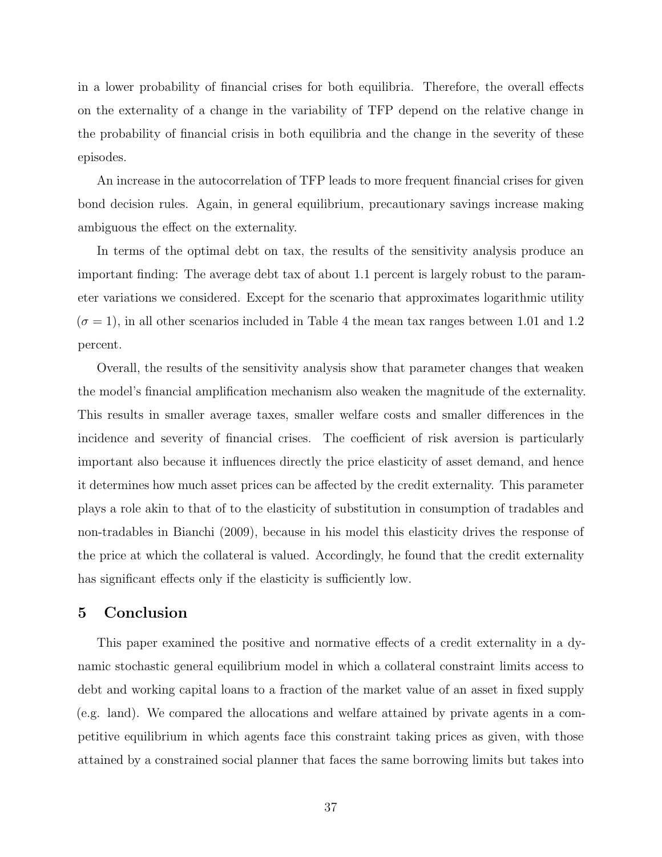in a lower probability of financial crises for both equilibria. Therefore, the overall effects on the externality of a change in the variability of TFP depend on the relative change in the probability of financial crisis in both equilibria and the change in the severity of these episodes.

An increase in the autocorrelation of TFP leads to more frequent financial crises for given bond decision rules. Again, in general equilibrium, precautionary savings increase making ambiguous the effect on the externality.

In terms of the optimal debt on tax, the results of the sensitivity analysis produce an important finding: The average debt tax of about 1.1 percent is largely robust to the parameter variations we considered. Except for the scenario that approximates logarithmic utility  $(\sigma = 1)$ , in all other scenarios included in Table 4 the mean tax ranges between 1.01 and 1.2 percent.

Overall, the results of the sensitivity analysis show that parameter changes that weaken the model's financial amplification mechanism also weaken the magnitude of the externality. This results in smaller average taxes, smaller welfare costs and smaller differences in the incidence and severity of financial crises. The coefficient of risk aversion is particularly important also because it influences directly the price elasticity of asset demand, and hence it determines how much asset prices can be affected by the credit externality. This parameter plays a role akin to that of to the elasticity of substitution in consumption of tradables and non-tradables in Bianchi (2009), because in his model this elasticity drives the response of the price at which the collateral is valued. Accordingly, he found that the credit externality has significant effects only if the elasticity is sufficiently low.

# **5 Conclusion**

This paper examined the positive and normative effects of a credit externality in a dynamic stochastic general equilibrium model in which a collateral constraint limits access to debt and working capital loans to a fraction of the market value of an asset in fixed supply (e.g. land). We compared the allocations and welfare attained by private agents in a competitive equilibrium in which agents face this constraint taking prices as given, with those attained by a constrained social planner that faces the same borrowing limits but takes into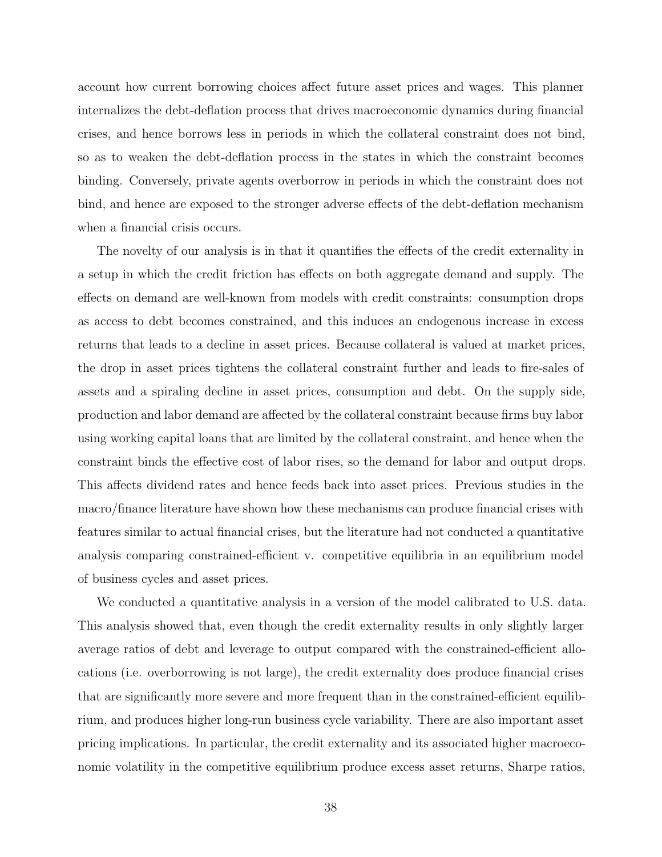account how current borrowing choices affect future asset prices and wages. This planner internalizes the debt-deflation process that drives macroeconomic dynamics during financial crises, and hence borrows less in periods in which the collateral constraint does not bind, so as to weaken the debt-deflation process in the states in which the constraint becomes binding. Conversely, private agents overborrow in periods in which the constraint does not bind, and hence are exposed to the stronger adverse effects of the debt-deflation mechanism when a financial crisis occurs.

The novelty of our analysis is in that it quantifies the effects of the credit externality in a setup in which the credit friction has effects on both aggregate demand and supply. The effects on demand are well-known from models with credit constraints: consumption drops as access to debt becomes constrained, and this induces an endogenous increase in excess returns that leads to a decline in asset prices. Because collateral is valued at market prices, the drop in asset prices tightens the collateral constraint further and leads to fire-sales of assets and a spiraling decline in asset prices, consumption and debt. On the supply side, production and labor demand are affected by the collateral constraint because firms buy labor using working capital loans that are limited by the collateral constraint, and hence when the constraint binds the effective cost of labor rises, so the demand for labor and output drops. This affects dividend rates and hence feeds back into asset prices. Previous studies in the macro/finance literature have shown how these mechanisms can produce financial crises with features similar to actual financial crises, but the literature had not conducted a quantitative analysis comparing constrained-efficient v. competitive equilibria in an equilibrium model of business cycles and asset prices.

We conducted a quantitative analysis in a version of the model calibrated to U.S. data. This analysis showed that, even though the credit externality results in only slightly larger average ratios of debt and leverage to output compared with the constrained-efficient allocations (i.e. overborrowing is not large), the credit externality does produce financial crises that are significantly more severe and more frequent than in the constrained-efficient equilibrium, and produces higher long-run business cycle variability. There are also important asset pricing implications. In particular, the credit externality and its associated higher macroeconomic volatility in the competitive equilibrium produce excess asset returns, Sharpe ratios,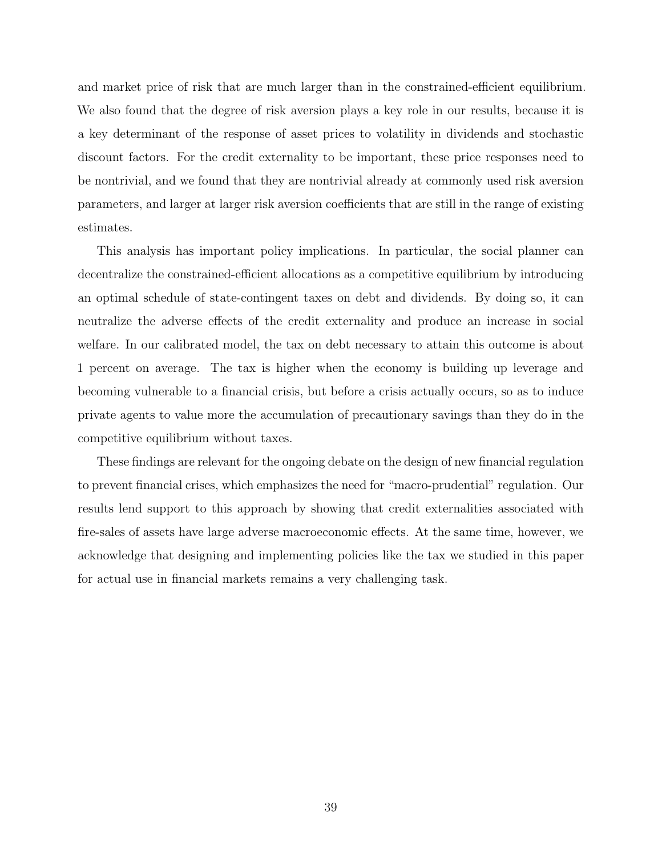and market price of risk that are much larger than in the constrained-efficient equilibrium. We also found that the degree of risk aversion plays a key role in our results, because it is a key determinant of the response of asset prices to volatility in dividends and stochastic discount factors. For the credit externality to be important, these price responses need to be nontrivial, and we found that they are nontrivial already at commonly used risk aversion parameters, and larger at larger risk aversion coefficients that are still in the range of existing estimates.

This analysis has important policy implications. In particular, the social planner can decentralize the constrained-efficient allocations as a competitive equilibrium by introducing an optimal schedule of state-contingent taxes on debt and dividends. By doing so, it can neutralize the adverse effects of the credit externality and produce an increase in social welfare. In our calibrated model, the tax on debt necessary to attain this outcome is about 1 percent on average. The tax is higher when the economy is building up leverage and becoming vulnerable to a financial crisis, but before a crisis actually occurs, so as to induce private agents to value more the accumulation of precautionary savings than they do in the competitive equilibrium without taxes.

These findings are relevant for the ongoing debate on the design of new financial regulation to prevent financial crises, which emphasizes the need for "macro-prudential" regulation. Our results lend support to this approach by showing that credit externalities associated with fire-sales of assets have large adverse macroeconomic effects. At the same time, however, we acknowledge that designing and implementing policies like the tax we studied in this paper for actual use in financial markets remains a very challenging task.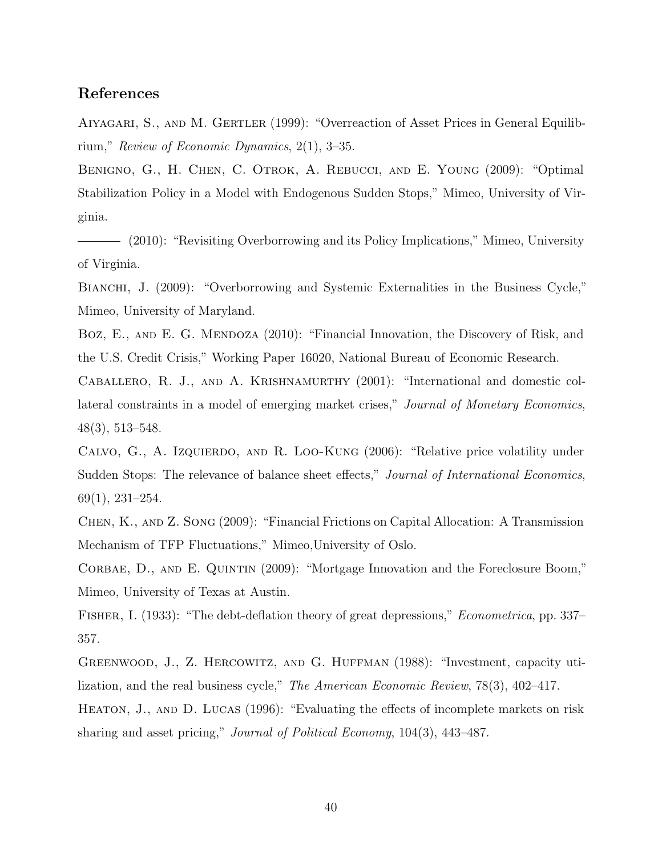# **References**

Aiyagari, S., and M. Gertler (1999): "Overreaction of Asset Prices in General Equilibrium," *Review of Economic Dynamics*, 2(1), 3–35.

Benigno, G., H. Chen, C. Otrok, A. Rebucci, and E. Young (2009): "Optimal Stabilization Policy in a Model with Endogenous Sudden Stops," Mimeo, University of Virginia.

(2010): "Revisiting Overborrowing and its Policy Implications," Mimeo, University of Virginia.

BIANCHI, J. (2009): "Overborrowing and Systemic Externalities in the Business Cycle," Mimeo, University of Maryland.

BOZ, E., AND E. G. MENDOZA (2010): "Financial Innovation, the Discovery of Risk, and the U.S. Credit Crisis," Working Paper 16020, National Bureau of Economic Research.

Caballero, R. J., and A. Krishnamurthy (2001): "International and domestic collateral constraints in a model of emerging market crises," *Journal of Monetary Economics*, 48(3), 513–548.

CALVO, G., A. IzQUIERDO, AND R. LOO-KUNG (2006): "Relative price volatility under Sudden Stops: The relevance of balance sheet effects," *Journal of International Economics*, 69(1), 231–254.

Chen, K., and Z. Song (2009): "Financial Frictions on Capital Allocation: A Transmission Mechanism of TFP Fluctuations," Mimeo,University of Oslo.

Corbae, D., and E. Quintin (2009): "Mortgage Innovation and the Foreclosure Boom," Mimeo, University of Texas at Austin.

Fisher, I. (1933): "The debt-deflation theory of great depressions," *Econometrica*, pp. 337– 357.

Greenwood, J., Z. Hercowitz, and G. Huffman (1988): "Investment, capacity utilization, and the real business cycle," *The American Economic Review*, 78(3), 402–417.

HEATON, J., AND D. LUCAS (1996): "Evaluating the effects of incomplete markets on risk sharing and asset pricing," *Journal of Political Economy*, 104(3), 443–487.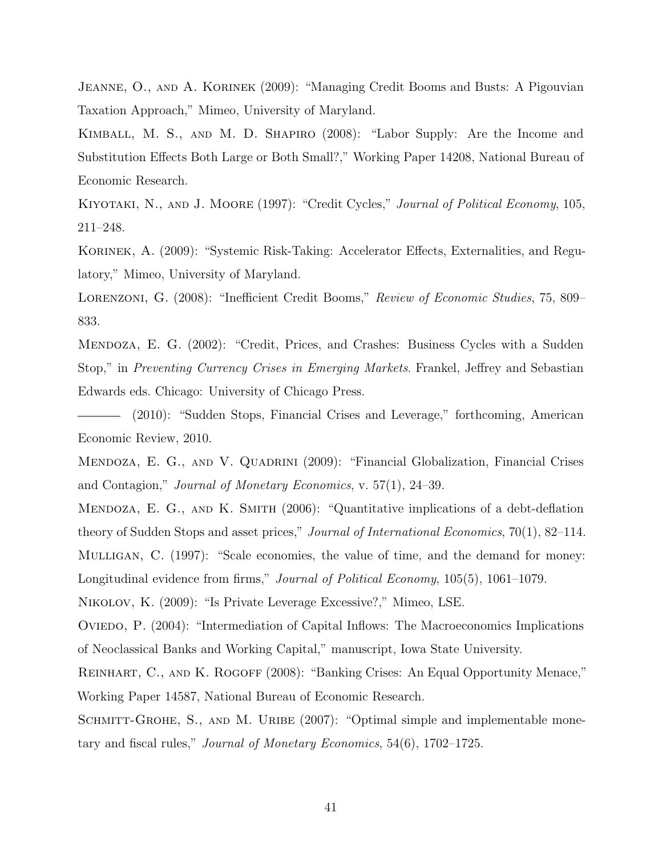JEANNE, O., AND A. KORINEK (2009): "Managing Credit Booms and Busts: A Pigouvian Taxation Approach," Mimeo, University of Maryland.

Kimball, M. S., and M. D. Shapiro (2008): "Labor Supply: Are the Income and Substitution Effects Both Large or Both Small?," Working Paper 14208, National Bureau of Economic Research.

Kiyotaki, N., and J. Moore (1997): "Credit Cycles," *Journal of Political Economy*, 105, 211–248.

KORINEK, A. (2009): "Systemic Risk-Taking: Accelerator Effects, Externalities, and Regulatory," Mimeo, University of Maryland.

Lorenzoni, G. (2008): "Inefficient Credit Booms," *Review of Economic Studies*, 75, 809– 833.

Mendoza, E. G. (2002): "Credit, Prices, and Crashes: Business Cycles with a Sudden Stop," in *Preventing Currency Crises in Emerging Markets*. Frankel, Jeffrey and Sebastian Edwards eds. Chicago: University of Chicago Press.

(2010): "Sudden Stops, Financial Crises and Leverage," forthcoming, American Economic Review, 2010.

Mendoza, E. G., and V. Quadrini (2009): "Financial Globalization, Financial Crises and Contagion," *Journal of Monetary Economics*, v. 57(1), 24–39.

MENDOZA, E. G., AND K. SMITH (2006): "Quantitative implications of a debt-deflation theory of Sudden Stops and asset prices," *Journal of International Economics*, 70(1), 82–114. Mulligan, C. (1997): "Scale economies, the value of time, and the demand for money:

Longitudinal evidence from firms," *Journal of Political Economy*, 105(5), 1061–1079.

Nikolov, K. (2009): "Is Private Leverage Excessive?," Mimeo, LSE.

Oviedo, P. (2004): "Intermediation of Capital Inflows: The Macroeconomics Implications of Neoclassical Banks and Working Capital," manuscript, Iowa State University.

REINHART, C., AND K. ROGOFF (2008): "Banking Crises: An Equal Opportunity Menace," Working Paper 14587, National Bureau of Economic Research.

SCHMITT-GROHE, S., AND M. URIBE (2007): "Optimal simple and implementable monetary and fiscal rules," *Journal of Monetary Economics*, 54(6), 1702–1725.